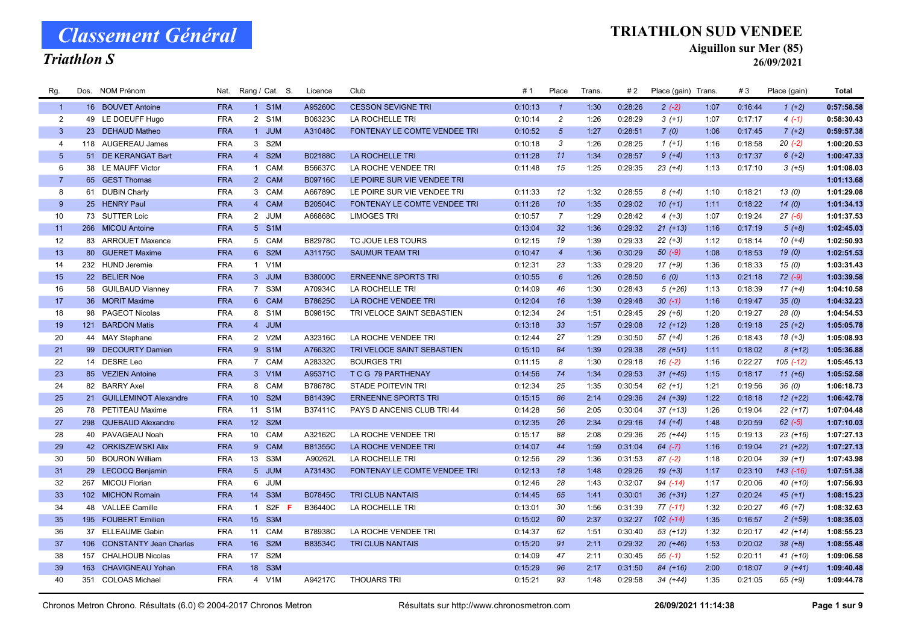#### Triathlon S

#### TRIATHLON SUD VENDEE

Aiguillon sur Mer (85)

| Rg.                     |     | Dos. NOM Prénom            | Nat.       |              | Rang / Cat. S.    | Licence        | Club                                | # 1     | Place           | Trans. | #2      | Place (gain) Trans. |      | #3      | Place (gain)  | Total      |
|-------------------------|-----|----------------------------|------------|--------------|-------------------|----------------|-------------------------------------|---------|-----------------|--------|---------|---------------------|------|---------|---------------|------------|
| $\mathbf{1}$            |     | 16 BOUVET Antoine          | <b>FRA</b> |              | 1 S1M             | A95260C        | <b>CESSON SEVIGNE TRI</b>           | 0:10:13 | $\mathbf{1}$    | 1:30   | 0:28:26 | $2(-2)$             | 1:07 | 0:16:44 | $1(+2)$       | 0:57:58.58 |
| $\overline{2}$          |     | 49 LE DOEUFF Hugo          | <b>FRA</b> |              | 2 S1M             | B06323C        | LA ROCHELLE TRI                     | 0:10:14 | $\overline{c}$  | 1:26   | 0:28:29 | $3(+1)$             | 1:07 | 0:17:17 | $4(-1)$       | 0:58:30.43 |
| $\mathbf{3}$            |     | 23 DEHAUD Matheo           | <b>FRA</b> |              | 1 JUM             | A31048C        | <b>FONTENAY LE COMTE VENDEE TRI</b> | 0:10:52 | $5\overline{5}$ | 1:27   | 0:28:51 | 7(0)                | 1:06 | 0:17:45 | $7(+2)$       | 0:59:57.38 |
| $\overline{\mathbf{4}}$ |     | 118 AUGEREAU James         | <b>FRA</b> |              | 3 S2M             |                |                                     | 0:10:18 | 3               | 1:26   | 0:28:25 | $1(+1)$             | 1:16 | 0:18:58 | $20(-2)$      | 1:00:20.53 |
| $5\phantom{.0}$         |     | 51 DE KERANGAT Bart        | <b>FRA</b> |              | 4 S2M             | B02188C        | <b>LA ROCHELLE TRI</b>              | 0:11:28 | 11              | 1:34   | 0:28:57 | $9 (+4)$            | 1:13 | 0:17:37 | $6(+2)$       | 1:00:47.33 |
| 6                       |     | 38 LE MAUFF Victor         | <b>FRA</b> |              | 1 CAM             | B56637C        | LA ROCHE VENDEE TRI                 | 0:11:48 | 15              | 1:25   | 0:29:35 | $23(+4)$            | 1:13 | 0:17:10 | $3(+5)$       | 1:01:08.03 |
| $\overline{7}$          |     | 65 GEST Thomas             | <b>FRA</b> |              | 2 CAM             | B09716C        | LE POIRE SUR VIE VENDEE TRI         |         |                 |        |         |                     |      |         |               | 1:01:13.68 |
| 8                       |     | 61 DUBIN Charly            | <b>FRA</b> |              | 3 CAM             | A66789C        | LE POIRE SUR VIE VENDEE TRI         | 0:11:33 | 12              | 1:32   | 0:28:55 | $8 (+4)$            | 1:10 | 0:18:21 | 13(0)         | 1:01:29.08 |
| 9                       |     | 25 HENRY Paul              | <b>FRA</b> |              | 4 CAM             | B20504C        | FONTENAY LE COMTE VENDEE TRI        | 0:11:26 | 10              | 1:35   | 0:29:02 | $10 (+1)$           | 1:11 | 0:18:22 | 14(0)         | 1:01:34.13 |
| 10                      |     | 73 SUTTER Loic             | <b>FRA</b> |              | 2 JUM             | A66868C        | <b>LIMOGES TRI</b>                  | 0:10:57 | $\overline{7}$  | 1:29   | 0:28:42 | $4 (+3)$            | 1:07 | 0:19:24 | $27(-6)$      | 1:01:37.53 |
| 11                      |     | 266 MICOU Antoine          | <b>FRA</b> |              | 5 S1M             |                |                                     | 0:13:04 | 32              | 1:36   | 0:29:32 | $21 (+13)$          | 1:16 | 0:17:19 | $5(+8)$       | 1:02:45.03 |
| 12                      |     | 83 ARROUET Maxence         | <b>FRA</b> |              | 5 CAM             | B82978C        | TC JOUE LES TOURS                   | 0:12:15 | 19              | 1:39   | 0:29:33 | $22 (+3)$           | 1:12 | 0:18:14 | $10(+4)$      | 1:02:50.93 |
| 13                      |     | 80 GUERET Maxime           | <b>FRA</b> |              | 6 S2M             | A31175C        | <b>SAUMUR TEAM TRI</b>              | 0:10:47 | $\overline{4}$  | 1:36   | 0:30:29 | $50(-9)$            | 1:08 | 0:18:53 | 19(0)         | 1:02:51.53 |
| 14                      |     | 232 HUND Jeremie           | <b>FRA</b> |              | 1 V1M             |                |                                     | 0:12:31 | 23              | 1:33   | 0:29:20 | $17(+9)$            | 1:36 | 0:18:33 | 15(0)         | 1:03:31.43 |
| 15                      |     | 22 BELIER Noe              | <b>FRA</b> |              | 3 JUM             | <b>B38000C</b> | <b>ERNEENNE SPORTS TRI</b>          | 0:10:55 | $6\overline{6}$ | 1:26   | 0:28:50 | 6(0)                | 1:13 | 0:21:18 | $72 (-9)$     | 1:03:39.58 |
| 16                      |     | 58 GUILBAUD Vianney        | <b>FRA</b> |              | 7 S3M             | A70934C        | LA ROCHELLE TRI                     | 0:14:09 | 46              | 1:30   | 0:28:43 | $5(+26)$            | 1:13 | 0:18:39 | $17(+4)$      | 1:04:10.58 |
| 17                      |     | 36 MORIT Maxime            | <b>FRA</b> |              | 6 CAM             | B78625C        | LA ROCHE VENDEE TRI                 | 0:12:04 | 16              | 1:39   | 0:29:48 | $30(-1)$            | 1:16 | 0:19:47 | 35(0)         | 1:04:32.23 |
| 18                      |     | 98 PAGEOT Nicolas          | <b>FRA</b> |              | 8 S1M             | B09815C        | TRI VELOCE SAINT SEBASTIEN          | 0:12:34 | 24              | 1:51   | 0:29:45 | $29 (+6)$           | 1:20 | 0:19:27 | 28(0)         | 1:04:54.53 |
| 19                      |     | 121 BARDON Matis           | <b>FRA</b> |              | 4 JUM             |                |                                     | 0:13:18 | 33              | 1:57   | 0:29:08 | $12 (+12)$          | 1:28 | 0:19:18 | $25 (+2)$     | 1:05:05.78 |
| 20                      |     | 44 MAY Stephane            | <b>FRA</b> |              | 2 V2M             | A32316C        | LA ROCHE VENDEE TRI                 | 0:12:44 | 27              | 1:29   | 0:30:50 | $57 (+4)$           | 1:26 | 0:18:43 | $18(+3)$      | 1:05:08.93 |
| 21                      |     | 99 DECOURTY Damien         | <b>FRA</b> |              | 9 S1M             | A76632C        | TRI VELOCE SAINT SEBASTIEN          | 0:15:10 | 84              | 1:39   | 0:29:38 | $28 (+51)$          | 1:11 | 0:18:02 | $8(+12)$      | 1:05:36.88 |
| 22                      |     | 14 DESRE Leo               | <b>FRA</b> |              | 7 CAM             | A28332C        | <b>BOURGES TRI</b>                  | 0:11:15 | 8               | 1:30   | 0:29:18 | $16(-2)$            | 1:16 | 0:22:27 | $105$ $(-12)$ | 1:05:45.13 |
| 23                      |     | 85 VEZIEN Antoine          | <b>FRA</b> |              | 3 V1M             | A95371C        | T C G 79 PARTHENAY                  | 0:14:56 | 74              | 1:34   | 0:29:53 | $31 (+45)$          | 1:15 | 0:18:17 | $11 (+6)$     | 1:05:52.58 |
| 24                      |     | 82 BARRY Axel              | <b>FRA</b> |              | 8 CAM             | B78678C        | <b>STADE POITEVIN TRI</b>           | 0:12:34 | 25              | 1:35   | 0:30:54 | $62 (+1)$           | 1:21 | 0:19:56 | 36(0)         | 1:06:18.73 |
| 25                      |     | 21 GUILLEMINOT Alexandre   | <b>FRA</b> |              | 10 S2M            | B81439C        | <b>ERNEENNE SPORTS TRI</b>          | 0:15:15 | 86              | 2:14   | 0:29:36 | $24$ $(+39)$        | 1:22 | 0:18:18 | $12 (+22)$    | 1:06:42.78 |
| 26                      |     | 78 PETITEAU Maxime         | <b>FRA</b> | 11           | S <sub>1</sub> M  | B37411C        | PAYS D ANCENIS CLUB TRI 44          | 0:14:28 | 56              | 2:05   | 0:30:04 | $37 (+13)$          | 1:26 | 0:19:04 | $22 (+17)$    | 1:07:04.48 |
| 27                      |     | 298 QUEBAUD Alexandre      | <b>FRA</b> |              | 12 S2M            |                |                                     | 0:12:35 | 26              | 2:34   | 0:29:16 | $14(+4)$            | 1:48 | 0:20:59 | $62 (-5)$     | 1:07:10.03 |
| 28                      |     | 40 PAVAGEAU Noah           | <b>FRA</b> |              | 10 CAM            | A32162C        | LA ROCHE VENDEE TRI                 | 0:15:17 | 88              | 2:08   | 0:29:36 | 25 (+44)            | 1:15 | 0:19:13 | $23 (+16)$    | 1:07:27.13 |
| 29                      |     | 42 ORKISZEWSKI Alix        | <b>FRA</b> |              | 9 CAM             | B81355C        | LA ROCHE VENDEE TRI                 | 0:14:07 | 44              | 1:59   | 0:31:04 | $64$ $(-7)$         | 1:16 | 0:19:04 | $21 (+22)$    | 1:07:27.13 |
| 30                      |     | 50 BOURON William          | <b>FRA</b> |              | 13 S3M            | A90262L        | LA ROCHELLE TRI                     | 0:12:56 | 29              | 1:36   | 0:31:53 | $87(-2)$            | 1:18 | 0:20:04 | $39 (+1)$     | 1:07:43.98 |
| 31                      |     | 29 LECOCQ Benjamin         | <b>FRA</b> |              | 5 JUM             | A73143C        | FONTENAY LE COMTE VENDEE TRI        | 0:12:13 | 18              | 1:48   | 0:29:26 | $19(+3)$            | 1:17 | 0:23:10 | $143$ $(-16)$ | 1:07:51.38 |
| 32                      |     | 267 MICOU Florian          | <b>FRA</b> |              | 6 JUM             |                |                                     | 0:12:46 | 28              | 1:43   | 0:32:07 | 94 (-14)            | 1:17 | 0:20:06 | 40 (+10)      | 1:07:56.93 |
| 33                      |     | 102 MICHON Romain          | <b>FRA</b> |              | 14 S3M            | B07845C        | <b>TRI CLUB NANTAIS</b>             | 0:14:45 | 65              | 1:41   | 0:30:01 | $36 (+31)$          | 1:27 | 0:20:24 | $45 (+1)$     | 1:08:15.23 |
| 34                      |     | 48 VALLEE Camille          | <b>FRA</b> | $\mathbf{1}$ | S <sub>2F</sub> F | B36440C        | LA ROCHELLE TRI                     | 0:13:01 | 30              | 1:56   | 0:31:39 | $77(-11)$           | 1:32 | 0:20:27 | $46 (+7)$     | 1:08:32.63 |
| 35                      |     | 195 FOUBERT Emilien        | <b>FRA</b> |              | 15 S3M            |                |                                     | 0:15:02 | 80              | 2:37   | 0:32:27 | $102$ $(-14)$       | 1:35 | 0:16:57 | $2(+59)$      | 1:08:35.03 |
| 36                      |     | 37 ELLEAUME Gabin          | <b>FRA</b> | 11           | CAM               | B78938C        | LA ROCHE VENDEE TRI                 | 0:14:37 | 62              | 1:51   | 0:30:40 | $53(+12)$           | 1:32 | 0:20:17 | $42 (+14)$    | 1:08:55.23 |
| 37                      |     | 106 CONSTANTY Jean Charles | <b>FRA</b> |              | 16 S2M            | B83534C        | <b>TRI CLUB NANTAIS</b>             | 0:15:20 | 91              | 2:11   | 0:29:32 | $20(+46)$           | 1:53 | 0:20:02 | $38 (+8)$     | 1:08:55.48 |
| 38                      |     | 157 CHALHOUB Nicolas       | <b>FRA</b> |              | 17 S2M            |                |                                     | 0:14:09 | 47              | 2:11   | 0:30:45 | $55(-1)$            | 1:52 | 0:20:11 | $41 (+10)$    | 1:09:06.58 |
| 39                      | 163 | <b>CHAVIGNEAU Yohan</b>    | <b>FRA</b> | 18           | S3M               |                |                                     | 0:15:29 | 96              | 2:17   | 0:31:50 | 84 (+16)            | 2:00 | 0:18:07 | $9(+41)$      | 1:09:40.48 |
| 40                      |     | 351 COLOAS Michael         | <b>FRA</b> |              | 4 V1M             | A94217C        | <b>THOUARS TRI</b>                  | 0:15:21 | 93              | 1:48   | 0:29:58 | $34 (+44)$          | 1:35 | 0:21:05 | $65 (+9)$     | 1:09:44.78 |
|                         |     |                            |            |              |                   |                |                                     |         |                 |        |         |                     |      |         |               |            |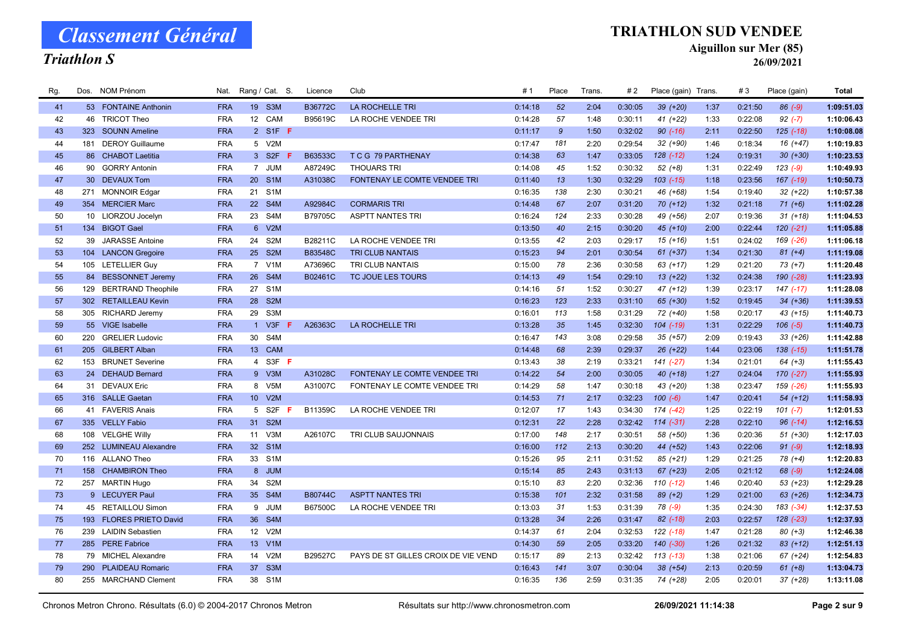### Triathlon S

#### TRIATHLON SUD VENDEE

Aiguillon sur Mer (85)

26/09/2021

| Rg. |     | Dos. NOM Prénom           | Nat.       |                 | Rang / Cat. S.   | Licence        | Club                                | #1      | Place         | Trans. | #2      | Place (gain) Trans. |      | #3      | Place (gain)  | <b>Total</b> |
|-----|-----|---------------------------|------------|-----------------|------------------|----------------|-------------------------------------|---------|---------------|--------|---------|---------------------|------|---------|---------------|--------------|
| 41  |     | 53 FONTAINE Anthonin      | <b>FRA</b> |                 | 19 S3M           | <b>B36772C</b> | LA ROCHELLE TRI                     | 0:14:18 | 52            | 2:04   | 0:30:05 | 39 (+20)            | 1:37 | 0:21:50 | $86 (-9)$     | 1:09:51.03   |
| 42  |     | 46 TRICOT Theo            | <b>FRA</b> | 12              | CAM              | B95619C        | LA ROCHE VENDEE TRI                 | 0:14:28 | 57            | 1:48   | 0:30:11 | $41 (+22)$          | 1:33 | 0:22:08 | $92 (-7)$     | 1:10:06.43   |
| 43  |     | 323 SOUNN Ameline         | <b>FRA</b> |                 | 2 S1F F          |                |                                     | 0:11:17 | $\mathcal{G}$ | 1:50   | 0:32:02 | $90 (-16)$          | 2:11 | 0:22:50 | $125$ $(-18)$ | 1:10:08.08   |
| 44  | 181 | <b>DEROY Guillaume</b>    | <b>FRA</b> |                 | 5 V2M            |                |                                     | 0:17:47 | 181           | 2:20   | 0:29:54 | 32 (+90)            | 1:46 | 0:18:34 | $16 (+47)$    | 1:10:19.83   |
| 45  |     | 86 CHABOT Laetitia        | <b>FRA</b> |                 | 3 S2F            | B63533C        | T C G 79 PARTHENAY                  | 0:14:38 | 63            | 1:47   | 0:33:05 | $128$ $(-12)$       | 1:24 | 0:19:31 | $30 (+30)$    | 1:10:23.53   |
| 46  |     | 90 GORRY Antonin          | <b>FRA</b> |                 | 7 JUM            | A87249C        | <b>THOUARS TRI</b>                  | 0:14:08 | 45            | 1:52   | 0:30:32 | $52 (+8)$           | 1:31 | 0:22:49 | $123(-9)$     | 1:10:49.93   |
| 47  |     | 30 DEVAUX Tom             | <b>FRA</b> | 20 <sup>°</sup> | S <sub>1</sub> M | A31038C        | FONTENAY LE COMTE VENDEE TRI        | 0:11:40 | 13            | 1:30   | 0:32:29 | $103$ $(-15)$       | 1:18 | 0:23:56 | $167$ $(-19)$ | 1:10:50.73   |
| 48  |     | 271 MONNOIR Edgar         | <b>FRA</b> | 21              | S <sub>1</sub> M |                |                                     | 0:16:35 | 138           | 2:30   | 0:30:21 | 46 (+68)            | 1:54 | 0:19:40 | $32 (+22)$    | 1:10:57.38   |
| 49  |     | 354 MERCIER Marc          | <b>FRA</b> |                 | 22 S4M           | A92984C        | <b>CORMARIS TRI</b>                 | 0:14:48 | 67            | 2:07   | 0:31:20 | $70(+12)$           | 1:32 | 0:21:18 | $71 (+6)$     | 1:11:02.28   |
| 50  |     | 10 LIORZOU Jocelyn        | <b>FRA</b> | 23              | S4M              | B79705C        | <b>ASPTT NANTES TRI</b>             | 0:16:24 | 124           | 2:33   | 0:30:28 | 49 (+56)            | 2:07 | 0:19:36 | $31 (+18)$    | 1:11:04.53   |
| 51  |     | 134 BIGOT Gael            | <b>FRA</b> |                 | 6 V2M            |                |                                     | 0:13:50 | 40            | 2:15   | 0:30:20 | $45 (+10)$          | 2:00 | 0:22:44 | $120(-21)$    | 1:11:05.88   |
| 52  | 39  | <b>JARASSE Antoine</b>    | <b>FRA</b> | 24              | S <sub>2</sub> M | B28211C        | LA ROCHE VENDEE TRI                 | 0:13:55 | 42            | 2:03   | 0:29:17 | $15(+16)$           | 1:51 | 0:24:02 | 169 (-26)     | 1:11:06.18   |
| 53  |     | 104 LANCON Gregoire       | <b>FRA</b> |                 | 25 S2M           | B83548C        | <b>TRI CLUB NANTAIS</b>             | 0:15:23 | 94            | 2:01   | 0:30:54 | $61 (+37)$          | 1:34 | 0:21:30 | $81 (+4)$     | 1:11:19.08   |
| 54  |     | 105 LETELLIER Guy         | <b>FRA</b> |                 | 7 V1M            | A73696C        | TRI CLUB NANTAIS                    | 0:15:00 | 78            | 2:36   | 0:30:58 | $63 (+17)$          | 1:29 | 0:21:20 | $73 (+7)$     | 1:11:20.48   |
| 55  |     | 84 BESSONNET Jeremy       | <b>FRA</b> | 26              | S4M              | B02461C        | TC JOUE LES TOURS                   | 0:14:13 | 49            | 1:54   | 0:29:10 | $13 (+22)$          | 1:32 | 0:24:38 | 190 (-28)     | 1:11:23.93   |
| 56  | 129 | <b>BERTRAND Theophile</b> | <b>FRA</b> | 27              | S <sub>1</sub> M |                |                                     | 0:14:16 | 51            | 1:52   | 0:30:27 | 47 (+12)            | 1:39 | 0:23:17 | $147$ $(-17)$ | 1:11:28.08   |
| 57  |     | 302 RETAILLEAU Kevin      | <b>FRA</b> | 28              | S <sub>2</sub> M |                |                                     | 0:16:23 | 123           | 2:33   | 0:31:10 | 65 (+30)            | 1:52 | 0:19:45 | $34 (+36)$    | 1:11:39.53   |
| 58  |     | 305 RICHARD Jeremy        | <b>FRA</b> | 29              | S3M              |                |                                     | 0:16:01 | 113           | 1:58   | 0:31:29 | 72 (+40)            | 1:58 | 0:20:17 | $43 (+15)$    | 1:11:40.73   |
| 59  |     | 55 VIGE Isabelle          | <b>FRA</b> |                 | 1 V3F            | A26363C        | LA ROCHELLE TRI                     | 0:13:28 | 35            | 1:45   | 0:32:30 | $104$ $(-19)$       | 1:31 | 0:22:29 | $106(-5)$     | 1:11:40.73   |
| 60  |     | 220 GRELIER Ludovic       | <b>FRA</b> | 30 <sup>°</sup> | S4M              |                |                                     | 0:16:47 | 143           | 3:08   | 0:29:58 | $35 (+57)$          | 2:09 | 0:19:43 | $33 (+26)$    | 1:11:42.88   |
| 61  |     | 205 GILBERT Alban         | <b>FRA</b> |                 | 13 CAM           |                |                                     | 0:14:48 | 68            | 2:39   | 0:29:37 | $26 (+22)$          | 1:44 | 0:23:06 | 138 (-15)     | 1:11:51.78   |
| 62  | 153 | <b>BRUNET Severine</b>    | <b>FRA</b> |                 | 4 S3F <b>F</b>   |                |                                     | 0:13:43 | 38            | 2:19   | 0:33:21 | $141 (-27)$         | 1:34 | 0:21:01 | $64 (+3)$     | 1:11:55.43   |
| 63  |     | 24 DEHAUD Bernard         | <b>FRA</b> |                 | 9 V3M            | A31028C        | FONTENAY LE COMTE VENDEE TRI        | 0:14:22 | 54            | 2:00   | 0:30:05 | $40 (+18)$          | 1:27 | 0:24:04 | 170 (-27)     | 1:11:55.93   |
| 64  |     | 31 DEVAUX Eric            | <b>FRA</b> |                 | 8 V5M            | A31007C        | FONTENAY LE COMTE VENDEE TRI        | 0:14:29 | 58            | 1:47   | 0:30:18 | 43 (+20)            | 1:38 | 0:23:47 | 159 (-26)     | 1:11:55.93   |
| 65  |     | 316 SALLE Gaetan          | <b>FRA</b> |                 | 10 V2M           |                |                                     | 0:14:53 | 71            | 2:17   | 0:32:23 | $100 (-6)$          | 1:47 | 0:20:41 | $54(+12)$     | 1:11:58.93   |
| 66  |     | 41 FAVERIS Anais          | <b>FRA</b> | 5               | S2F              | B11359C        | LA ROCHE VENDEE TRI                 | 0:12:07 | 17            | 1:43   | 0:34:30 | 174 (-42)           | 1:25 | 0:22:19 | $101 (-7)$    | 1:12:01.53   |
| 67  |     | 335 VELLY Fabio           | <b>FRA</b> | 31 <sup>2</sup> | S <sub>2</sub> M |                |                                     | 0:12:31 | 22            | 2:28   | 0:32:42 | $114(-31)$          | 2:28 | 0:22:10 | $96$ $(-14)$  | 1:12:16.53   |
| 68  |     | 108 VELGHE Willy          | <b>FRA</b> | 11              | V3M              | A26107C        | TRI CLUB SAUJONNAIS                 | 0:17:00 | 148           | 2:17   | 0:30:51 | 58 (+50)            | 1:36 | 0:20:36 | $51 (+30)$    | 1:12:17.03   |
| 69  |     | 252 LUMINEAU Alexandre    | <b>FRA</b> | 32 <sup>2</sup> | S <sub>1</sub> M |                |                                     | 0:16:00 | 112           | 2:13   | 0:30:20 | 44 (+52)            | 1:43 | 0:22:06 | $91 (-9)$     | 1:12:18.93   |
| 70  |     | 116 ALLANO Theo           | <b>FRA</b> |                 | 33 S1M           |                |                                     | 0:15:26 | 95            | 2:11   | 0:31:52 | $85 (+21)$          | 1:29 | 0:21:25 | 78 (+4)       | 1:12:20.83   |
| 71  |     | 158 CHAMBIRON Theo        | <b>FRA</b> |                 | 8 JUM            |                |                                     | 0:15:14 | 85            | 2:43   | 0:31:13 | $67 (+23)$          | 2:05 | 0:21:12 | 68 (-9)       | 1:12:24.08   |
| 72  |     | 257 MARTIN Hugo           | <b>FRA</b> | 34              | S <sub>2</sub> M |                |                                     | 0:15:10 | 83            | 2:20   | 0:32:36 | $110(-12)$          | 1:46 | 0:20:40 | 53 (+23)      | 1:12:29.28   |
| 73  |     | 9 LECUYER Paul            | <b>FRA</b> |                 | 35 S4M           | B80744C        | <b>ASPTT NANTES TRI</b>             | 0:15:38 | 101           | 2:32   | 0:31:58 | $89 (+2)$           | 1:29 | 0:21:00 | $63 (+26)$    | 1:12:34.73   |
| 74  |     | 45 RETAILLOU Simon        | <b>FRA</b> | 9               | <b>JUM</b>       | B67500C        | LA ROCHE VENDEE TRI                 | 0:13:03 | 31            | 1:53   | 0:31:39 | 78 (-9)             | 1:35 | 0:24:30 | 183 (-34)     | 1:12:37.53   |
| 75  |     | 193 FLORES PRIETO David   | <b>FRA</b> | 36              | S4M              |                |                                     | 0:13:28 | 34            | 2:26   | 0:31:47 | $82$ (-18)          | 2:03 | 0:22:57 | 128 (-23)     | 1:12:37.93   |
| 76  | 239 | <b>LAIDIN Sebastien</b>   | <b>FRA</b> | 12              | V2M              |                |                                     | 0:14:37 | 61            | 2:04   | 0:32:53 | $122$ $(-18)$       | 1:47 | 0:21:28 | $80 (+3)$     | 1:12:46.38   |
| 77  |     | 285 PERE Fabrice          | <b>FRA</b> |                 | 13 V1M           |                |                                     | 0:14:30 | 59            | 2:05   | 0:33:20 | $140 (-30)$         | 1:26 | 0:21:32 | $83 (+12)$    | 1:12:51.13   |
| 78  |     | 79 MICHEL Alexandre       | <b>FRA</b> | 14              | V2M              | B29527C        | PAYS DE ST GILLES CROIX DE VIE VEND | 0:15:17 | 89            | 2:13   | 0:32:42 | $113(-13)$          | 1:38 | 0:21:06 | 67 (+24)      | 1:12:54.83   |
| 79  | 290 | <b>PLAIDEAU Romaric</b>   | <b>FRA</b> | 37              | S <sub>3</sub> M |                |                                     | 0:16:43 | 141           | 3:07   | 0:30:04 | 38 (+54)            | 2:13 | 0:20:59 | $61 (+8)$     | 1:13:04.73   |
| 80  |     | 255 MARCHAND Clement      | <b>FRA</b> |                 | 38 S1M           |                |                                     | 0:16:35 | 136           | 2:59   | 0:31:35 | 74 (+28)            | 2:05 | 0:20:01 | $37 (+28)$    | 1:13:11.08   |
|     |     |                           |            |                 |                  |                |                                     |         |               |        |         |                     |      |         |               |              |

Chronos Metron Chrono. Résultats (6.0) © 2004-2017 Chronos Metron Résultats sur http://www.chronosmetron.com 26/09/2021 11:14:38 Page 2 sur 9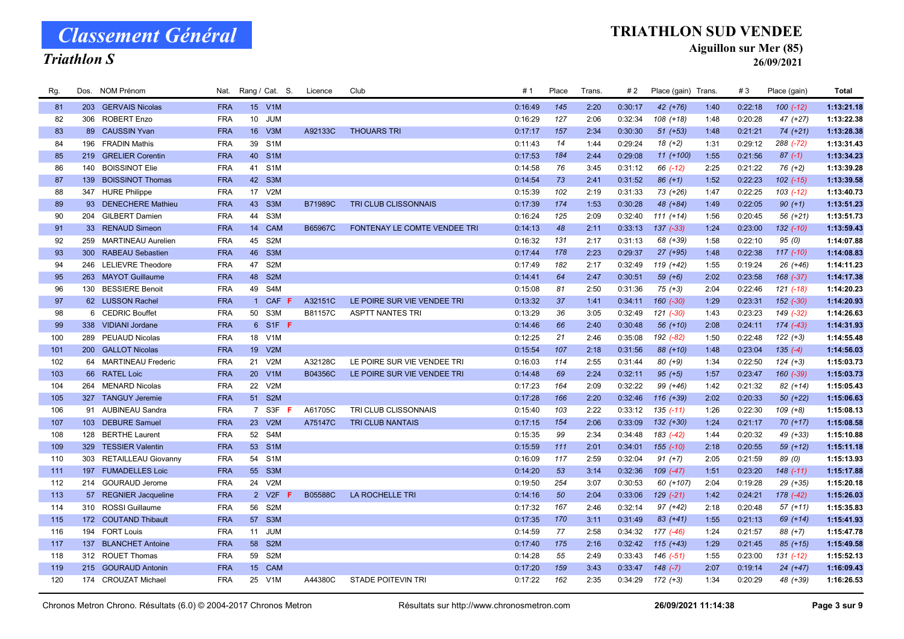### Triathlon S

#### TRIATHLON SUD VENDEE

Aiguillon sur Mer (85)

| Rg. |     | Dos. NOM Prénom            | Nat.       |                 | Rang / Cat. S.   | Licence        | Club                         | #1      | Place | Trans. | #2      | Place (gain) Trans. |      | #3      | Place (gain)  | <b>Total</b> |
|-----|-----|----------------------------|------------|-----------------|------------------|----------------|------------------------------|---------|-------|--------|---------|---------------------|------|---------|---------------|--------------|
| 81  |     | 203 GERVAIS Nicolas        | <b>FRA</b> |                 | 15 V1M           |                |                              | 0:16:49 | 145   | 2:20   | 0:30:17 | $42 (+76)$          | 1:40 | 0:22:18 | $100(-12)$    | 1:13:21.18   |
| 82  | 306 | <b>ROBERT Enzo</b>         | <b>FRA</b> | 10 <sup>1</sup> | <b>JUM</b>       |                |                              | 0:16:29 | 127   | 2:06   | 0:32:34 | $108 (+18)$         | 1:48 | 0:20:28 | $47 (+27)$    | 1:13:22.38   |
| 83  |     | 89 CAUSSIN Yvan            | <b>FRA</b> | 16              | V3M              | A92133C        | <b>THOUARS TRI</b>           | 0:17:17 | 157   | 2:34   | 0:30:30 | $51 (+53)$          | 1:48 | 0:21:21 | $74(+21)$     | 1:13:28.38   |
| 84  | 196 | <b>FRADIN Mathis</b>       | <b>FRA</b> | 39              | S <sub>1</sub> M |                |                              | 0:11:43 | 14    | 1:44   | 0:29:24 | $18(+2)$            | 1:31 | 0:29:12 | 288 (-72)     | 1:13:31.43   |
| 85  | 219 | <b>GRELIER Corentin</b>    | <b>FRA</b> | 40              | S <sub>1</sub> M |                |                              | 0:17:53 | 184   | 2:44   | 0:29:08 | $11 (+100)$         | 1:55 | 0:21:56 | $87(-1)$      | 1:13:34.23   |
| 86  | 140 | <b>BOISSINOT Elie</b>      | <b>FRA</b> | 41              | S <sub>1</sub> M |                |                              | 0:14:58 | 76    | 3:45   | 0:31:12 | 66 (-12)            | 2:25 | 0:21:22 | $76 (+2)$     | 1:13:39.28   |
| 87  | 139 | <b>BOISSINOT Thomas</b>    | <b>FRA</b> | 42              | S <sub>3</sub> M |                |                              | 0:14:54 | 73    | 2:41   | 0:31:52 | $86 (+1)$           | 1:52 | 0:22:23 | $102$ $(-15)$ | 1:13:39.58   |
| 88  |     | 347 HURE Philippe          | <b>FRA</b> | 17              | V <sub>2</sub> M |                |                              | 0:15:39 | 102   | 2:19   | 0:31:33 | 73 (+26)            | 1:47 | 0:22:25 | $103$ $(-12)$ | 1:13:40.73   |
| 89  |     | 93 DENECHERE Mathieu       | <b>FRA</b> |                 | 43 S3M           | <b>B71989C</b> | TRI CLUB CLISSONNAIS         | 0:17:39 | 174   | 1:53   | 0:30:28 | 48 (+84)            | 1:49 | 0:22:05 | $90 (+1)$     | 1:13:51.23   |
| 90  |     | 204 GILBERT Damien         | <b>FRA</b> | 44              | S3M              |                |                              | 0:16:24 | 125   | 2:09   | 0:32:40 | $111 (+14)$         | 1:56 | 0:20:45 | 56 (+21)      | 1:13:51.73   |
| 91  |     | 33 RENAUD Simeon           | <b>FRA</b> | 14              | <b>CAM</b>       | B65967C        | FONTENAY LE COMTE VENDEE TRI | 0:14:13 | 48    | 2:11   | 0:33:13 | $137$ $(-33)$       | 1:24 | 0:23:00 | 132 (-10)     | 1:13:59.43   |
| 92  | 259 | <b>MARTINEAU Aurelien</b>  | <b>FRA</b> | 45              | S <sub>2</sub> M |                |                              | 0:16:32 | 131   | 2:17   | 0:31:13 | 68 (+39)            | 1:58 | 0:22:10 | 95(0)         | 1:14:07.88   |
| 93  | 300 | <b>RABEAU Sebastien</b>    | <b>FRA</b> | 46              | S <sub>3</sub> M |                |                              | 0:17:44 | 178   | 2:23   | 0:29:37 | $27$ (+95)          | 1:48 | 0:22:38 | $117(-10)$    | 1:14:08.83   |
| 94  | 246 | <b>LELIEVRE Theodore</b>   | <b>FRA</b> | 47              | S <sub>2</sub> M |                |                              | 0:17:49 | 182   | 2:17   | 0:32:49 | $119 (+42)$         | 1:55 | 0:19:24 | $26 (+46)$    | 1:14:11.23   |
| 95  |     | 263 MAYOT Guillaume        | <b>FRA</b> | 48              | S <sub>2</sub> M |                |                              | 0:14:41 | 64    | 2:47   | 0:30:51 | $59 (+6)$           | 2:02 | 0:23:58 | 168 (-37)     | 1:14:17.38   |
| 96  | 130 | <b>BESSIERE Benoit</b>     | <b>FRA</b> | 49              | S4M              |                |                              | 0:15:08 | 81    | 2:50   | 0:31:36 | $75 (+3)$           | 2:04 | 0:22:46 | $121$ $(-18)$ | 1:14:20.23   |
| 97  |     | 62 LUSSON Rachel           | <b>FRA</b> | $\mathbf{1}$    | CAF F            | A32151C        | LE POIRE SUR VIE VENDEE TRI  | 0:13:32 | 37    | 1:41   | 0:34:11 | 160 (-30)           | 1:29 | 0:23:31 | 152 (-30)     | 1:14:20.93   |
| 98  |     | 6 CEDRIC Bouffet           | <b>FRA</b> | 50              | S <sub>3</sub> M | B81157C        | <b>ASPTT NANTES TRI</b>      | 0:13:29 | 36    | 3:05   | 0:32:49 | 121 (-30)           | 1:43 | 0:23:23 | 149 (-32)     | 1:14:26.63   |
| 99  |     | 338 VIDIANI Jordane        | <b>FRA</b> |                 | 6 S1F F          |                |                              | 0:14:46 | 66    | 2:40   | 0:30:48 | 56 (+10)            | 2:08 | 0:24:11 | 174 (-43)     | 1:14:31.93   |
| 100 | 289 | PEUAUD Nicolas             | <b>FRA</b> | 18              | V <sub>1</sub> M |                |                              | 0:12:25 | 21    | 2:46   | 0:35:08 | 192 (-82)           | 1:50 | 0:22:48 | $122 (+3)$    | 1:14:55.48   |
| 101 |     | 200 GALLOT Nicolas         | <b>FRA</b> | 19              | V2M              |                |                              | 0:15:54 | 107   | 2:18   | 0:31:56 | 88 (+10)            | 1:48 | 0:23:04 | $135(-4)$     | 1:14:56.03   |
| 102 |     | 64 MARTINEAU Frederic      | <b>FRA</b> | 21              | V2M              | A32128C        | LE POIRE SUR VIE VENDEE TRI  | 0:16:03 | 114   | 2:55   | 0:31:44 | $80 (+9)$           | 1:34 | 0:22:50 | $124 (+3)$    | 1:15:03.73   |
| 103 | 66  | <b>RATEL Loic</b>          | <b>FRA</b> | 20 <sub>2</sub> | V1M              | B04356C        | LE POIRE SUR VIE VENDEE TRI  | 0:14:48 | 69    | 2:24   | 0:32:11 | $95 (+5)$           | 1:57 | 0:23:47 | 160 (-39)     | 1:15:03.73   |
| 104 | 264 | <b>MENARD Nicolas</b>      | <b>FRA</b> | 22              | V2M              |                |                              | 0:17:23 | 164   | 2:09   | 0:32:22 | 99 (+46)            | 1:42 | 0:21:32 | $82 (+14)$    | 1:15:05.43   |
| 105 | 327 | <b>TANGUY Jeremie</b>      | <b>FRA</b> | 51              | S <sub>2</sub> M |                |                              | 0:17:28 | 166   | 2:20   | 0:32:46 | $116 (+39)$         | 2:02 | 0:20:33 | $50 (+22)$    | 1:15:06.63   |
| 106 |     | 91 AUBINEAU Sandra         | <b>FRA</b> |                 | 7 S3F            | A61705C        | TRI CLUB CLISSONNAIS         | 0:15:40 | 103   | 2:22   | 0:33:12 | $135( -11)$         | 1:26 | 0:22:30 | $109 (+8)$    | 1:15:08.13   |
| 107 | 103 | <b>DEBURE Samuel</b>       | <b>FRA</b> | 23              | V2M              | A75147C        | <b>TRI CLUB NANTAIS</b>      | 0:17:15 | 154   | 2:06   | 0:33:09 | $132 (+30)$         | 1:24 | 0:21:17 | $70(+17)$     | 1:15:08.58   |
| 108 | 128 | <b>BERTHE Laurent</b>      | <b>FRA</b> | 52              | S4M              |                |                              | 0:15:35 | 99    | 2:34   | 0:34:48 | 183 (-42)           | 1:44 | 0:20:32 | 49 (+33)      | 1:15:10.88   |
| 109 | 329 | <b>TESSIER Valentin</b>    | <b>FRA</b> |                 | 53 S1M           |                |                              | 0:15:59 | 111   | 2:01   | 0:34:01 | $155(-10)$          | 2:18 | 0:20:55 | 59 (+12)      | 1:15:11.18   |
| 110 | 303 | <b>RETAILLEAU Giovanny</b> | <b>FRA</b> | 54              | S <sub>1</sub> M |                |                              | 0:16:09 | 117   | 2:59   | 0:32:04 | $91 (+7)$           | 2:05 | 0:21:59 | 89 (0)        | 1:15:13.93   |
| 111 |     | 197 FUMADELLES Loic        | <b>FRA</b> | 55              | S <sub>3</sub> M |                |                              | 0:14:20 | 53    | 3:14   | 0:32:36 | $109(-47)$          | 1:51 | 0:23:20 | $148$ $(-11)$ | 1:15:17.88   |
| 112 |     | 214 GOURAUD Jerome         | <b>FRA</b> | 24              | V2M              |                |                              | 0:19:50 | 254   | 3:07   | 0:30:53 | 60 (+107)           | 2:04 | 0:19:28 | 29 (+35)      | 1:15:20.18   |
| 113 |     | 57 REGNIER Jacqueline      | <b>FRA</b> |                 | 2 V2F            | B05588C        | LA ROCHELLE TRI              | 0:14:16 | 50    | 2:04   | 0:33:06 | $129$ $(-21)$       | 1:42 | 0:24:21 | 178 (-42)     | 1:15:26.03   |
| 114 | 310 | ROSSI Guillaume            | <b>FRA</b> | 56              | S <sub>2</sub> M |                |                              | 0:17:32 | 167   | 2:46   | 0:32:14 | $97 (+42)$          | 2:18 | 0:20:48 | $57(+11)$     | 1:15:35.83   |
| 115 |     | 172 COUTAND Thibault       | <b>FRA</b> | 57              | S <sub>3</sub> M |                |                              | 0:17:35 | 170   | 3:11   | 0:31:49 | 83 (+41)            | 1:55 | 0:21:13 | 69 (+14)      | 1:15:41.93   |
| 116 |     | 194 FORT Louis             | <b>FRA</b> | 11              | <b>JUM</b>       |                |                              | 0:14:59 | 77    | 2:58   | 0:34:32 | 177 (-46)           | 1:24 | 0:21:57 | $88 (+7)$     | 1:15:47.78   |
| 117 | 137 | <b>BLANCHET Antoine</b>    | <b>FRA</b> | 58              | S <sub>2</sub> M |                |                              | 0:17:40 | 175   | 2:16   | 0:32:42 | $115 (+43)$         | 1:29 | 0:21:45 | $85 (+15)$    | 1:15:49.58   |
| 118 | 312 | <b>ROUET Thomas</b>        | <b>FRA</b> | 59              | S <sub>2</sub> M |                |                              | 0:14:28 | 55    | 2:49   | 0:33:43 | 146 (-51)           | 1:55 | 0:23:00 | 131 (-12)     | 1:15:52.13   |
| 119 |     | 215 GOURAUD Antonin        | <b>FRA</b> | 15 <sup>2</sup> | <b>CAM</b>       |                |                              | 0:17:20 | 159   | 3:43   | 0:33:47 | $148$ (-7)          | 2:07 | 0:19:14 | $24 (+47)$    | 1:16:09.43   |
| 120 |     | 174 CROUZAT Michael        | <b>FRA</b> |                 | 25 V1M           | A44380C        | <b>STADE POITEVIN TRI</b>    | 0:17:22 | 162   | 2:35   | 0:34:29 | $172 (+3)$          | 1:34 | 0:20:29 | 48 (+39)      | 1:16:26.53   |
|     |     |                            |            |                 |                  |                |                              |         |       |        |         |                     |      |         |               |              |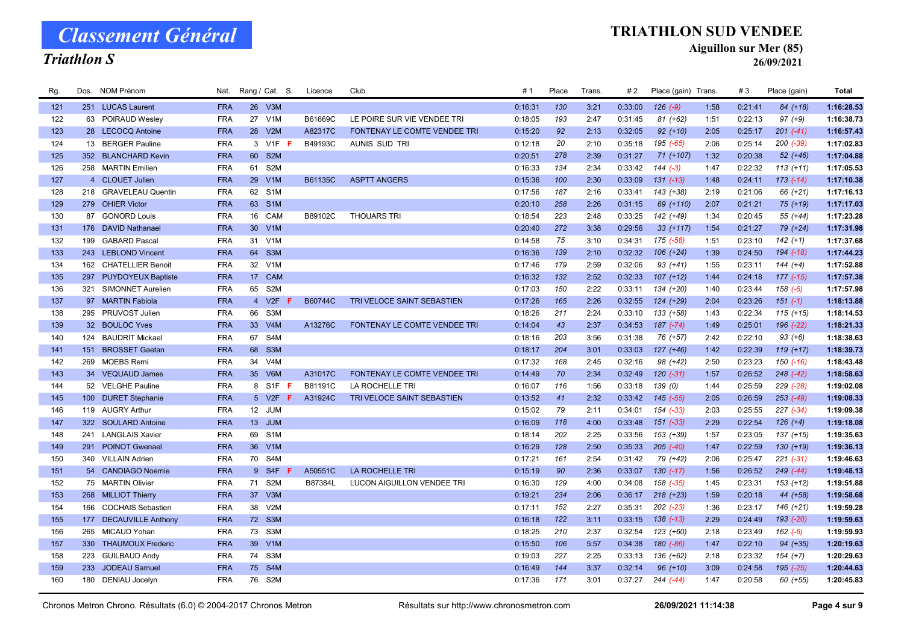### Triathlon S

#### TRIATHLON SUD VENDEE

Aiguillon sur Mer (85)

26/09/2021

| Rg. |     | Dos. NOM Prénom           | Nat.       |                 | Rang / Cat. S.   | Licence | Club                                | # 1     | Place | Trans. | #2      | Place (gain) Trans. |      | #3      | Place (gain)  | <b>Total</b> |
|-----|-----|---------------------------|------------|-----------------|------------------|---------|-------------------------------------|---------|-------|--------|---------|---------------------|------|---------|---------------|--------------|
| 121 |     | 251 LUCAS Laurent         | <b>FRA</b> |                 | 26 V3M           |         |                                     | 0:16:31 | 130   | 3:21   | 0:33:00 | $126(-9)$           | 1:58 | 0:21:41 | $84 (+18)$    | 1:16:28.53   |
| 122 |     | 63 POIRAUD Wesley         | <b>FRA</b> | 27              | V <sub>1</sub> M | B61669C | LE POIRE SUR VIE VENDEE TRI         | 0:18:05 | 193   | 2:47   | 0:31:45 | $81 (+62)$          | 1:51 | 0:22:13 | $97 (+9)$     | 1:16:38.73   |
| 123 |     | 28 LECOCQ Antoine         | <b>FRA</b> | 28              | V2M              | A82317C | <b>FONTENAY LE COMTE VENDEE TRI</b> | 0:15:20 | 92    | 2:13   | 0:32:05 | $92 (+10)$          | 2:05 | 0:25:17 | $201$ $(-41)$ | 1:16:57.43   |
| 124 |     | 13 BERGER Pauline         | <b>FRA</b> |                 | 3 V1F<br>-F      | B49193C | AUNIS SUD TRI                       | 0:12:18 | 20    | 2:10   | 0:35:18 | 195 (-65)           | 2:06 | 0:25:14 | $200$ $(-39)$ | 1:17:02.83   |
| 125 |     | 352 BLANCHARD Kevin       | <b>FRA</b> | 60              | S <sub>2M</sub>  |         |                                     | 0:20:51 | 278   | 2:39   | 0:31:27 | 71 (+107)           | 1:32 | 0:20:38 | $52(+46)$     | 1:17:04.88   |
| 126 |     | 258 MARTIN Emilien        | <b>FRA</b> | 61              | S2M              |         |                                     | 0:16:33 | 134   | 2:34   | 0:33:42 | $144(-3)$           | 1:47 | 0:22:32 | $113 (+11)$   | 1:17:05.53   |
| 127 |     | 4 CLOUET Julien           | <b>FRA</b> | 29              | V1M              | B61135C | <b>ASPTT ANGERS</b>                 | 0:15:36 | 100   | 2:30   | 0:33:09 | $131$ $(-13)$       | 1:48 | 0:24:11 | $173$ $(-14)$ | 1:17:10.38   |
| 128 |     | 218 GRAVELEAU Quentin     | <b>FRA</b> |                 | 62 S1M           |         |                                     | 0:17:56 | 187   | 2:16   | 0:33:41 | 143 (+38)           | 2:19 | 0:21:06 | 66 (+21)      | 1:17:16.13   |
| 129 |     | 279 OHIER Victor          | <b>FRA</b> |                 | 63 S1M           |         |                                     | 0:20:10 | 258   | 2:26   | 0:31:15 | 69 (+110)           | 2:07 | 0:21:21 | 75 (+19)      | 1:17:17.03   |
| 130 |     | 87 GONORD Louis           | <b>FRA</b> | 16              | CAM              | B89102C | <b>THOUARS TRI</b>                  | 0:18:54 | 223   | 2:48   | 0:33:25 | 142 (+49)           | 1:34 | 0:20:45 | 55 (+44)      | 1:17:23.28   |
| 131 |     | 176 DAVID Nathanael       | <b>FRA</b> |                 | 30 V1M           |         |                                     | 0:20:40 | 272   | 3:38   | 0:29:56 | $33 (+117)$         | 1:54 | 0:21:27 | 79 (+24)      | 1:17:31.98   |
| 132 | 199 | <b>GABARD Pascal</b>      | <b>FRA</b> | 31              | V <sub>1</sub> M |         |                                     | 0:14:58 | 75    | 3:10   | 0:34:31 | 175 (-58)           | 1:51 | 0:23:10 | $142 (+1)$    | 1:17:37.68   |
| 133 |     | 243 LEBLOND Vincent       | <b>FRA</b> | 64              | S3M              |         |                                     | 0:16:36 | 139   | 2:10   | 0:32:32 | $106 (+24)$         | 1:39 | 0:24:50 | 194 (-18)     | 1:17:44.23   |
| 134 |     | 162 CHATELLIER Benoit     | <b>FRA</b> | 32              | V <sub>1</sub> M |         |                                     | 0:17:46 | 179   | 2:59   | 0:32:06 | $93 (+41)$          | 1:55 | 0:23:11 | $144 (+4)$    | 1:17:52.88   |
| 135 | 297 | <b>PUYDOYEUX Baptiste</b> | <b>FRA</b> | 17 <sup>2</sup> | CAM              |         |                                     | 0:16:32 | 132   | 2:52   | 0:32:33 | $107 (+12)$         | 1:44 | 0:24:18 | $177$ $(-15)$ | 1:17:57.38   |
| 136 |     | 321 SIMONNET Aurelien     | <b>FRA</b> | 65              | S <sub>2</sub> M |         |                                     | 0:17:03 | 150   | 2:22   | 0:33:11 | 134 (+20)           | 1:40 | 0:23:44 | $158(-6)$     | 1:17:57.98   |
| 137 |     | 97 MARTIN Fabiola         | <b>FRA</b> | $\overline{4}$  | V2F              | B60744C | TRI VELOCE SAINT SEBASTIEN          | 0:17:26 | 165   | 2:26   | 0:32:55 | $124 (+29)$         | 2:04 | 0:23:26 | $151(-1)$     | 1:18:13.88   |
| 138 |     | 295 PRUVOST Julien        | <b>FRA</b> | 66              | S3M              |         |                                     | 0:18:26 | 211   | 2:24   | 0:33:10 | 133 (+58)           | 1:43 | 0:22:34 | $115 (+15)$   | 1:18:14.53   |
| 139 |     | 32 BOULOC Yves            | <b>FRA</b> | 33 <sup>°</sup> | V4M              | A13276C | FONTENAY LE COMTE VENDEE TRI        | 0:14:04 | 43    | 2:37   | 0:34:53 | $187$ $(-74)$       | 1:49 | 0:25:01 | 196 (-22)     | 1:18:21.33   |
| 140 |     | 124 BAUDRIT Mickael       | <b>FRA</b> | 67              | S4M              |         |                                     | 0:18:16 | 203   | 3:56   | 0:31:38 | 76 (+57)            | 2:42 | 0:22:10 | $93 (+6)$     | 1:18:38.63   |
| 141 |     | 151 BROSSET Gaetan        | <b>FRA</b> | 68              | S <sub>3</sub> M |         |                                     | 0:18:17 | 204   | 3:01   | 0:33:03 | $127 (+46)$         | 1:42 | 0:22:39 | $119 (+17)$   | 1:18:39.73   |
| 142 | 269 | <b>MOEBS Remi</b>         | <b>FRA</b> | 34              | V <sub>4</sub> M |         |                                     | 0:17:32 | 168   | 2:45   | 0:32:16 | 98 (+42)            | 2:50 | 0:23:23 | $150(-16)$    | 1:18:43.48   |
| 143 |     | 34 VEQUAUD James          | <b>FRA</b> | 35 <sup>5</sup> | V6M              | A31017C | FONTENAY LE COMTE VENDEE TRI        | 0:14:49 | 70    | 2:34   | 0:32:49 | $120(-31)$          | 1:57 | 0:26:52 | $248$ $(-42)$ | 1:18:58.63   |
| 144 |     | 52 VELGHE Pauline         | <b>FRA</b> |                 | 8 S1F<br>-F      | B81191C | LA ROCHELLE TRI                     | 0:16:07 | 116   | 1:56   | 0:33:18 | 139 (0)             | 1:44 | 0:25:59 | 229 (-28)     | 1:19:02.08   |
| 145 |     | 100 DURET Stephanie       | <b>FRA</b> |                 | 5 V2F<br>F.      | A31924C | TRI VELOCE SAINT SEBASTIEN          | 0:13:52 | 41    | 2:32   | 0:33:42 | $145$ $(-55)$       | 2:05 | 0:26:59 | $253$ $(-49)$ | 1:19:08.33   |
| 146 |     | 119 AUGRY Arthur          | <b>FRA</b> | 12              | <b>JUM</b>       |         |                                     | 0:15:02 | 79    | 2:11   | 0:34:01 | 154 (-33)           | 2:03 | 0:25:55 | $227 (-34)$   | 1:19:09.38   |
| 147 |     | 322 SOULARD Antoine       | <b>FRA</b> | 13 <sup>7</sup> | <b>JUM</b>       |         |                                     | 0:16:09 | 118   | 4:00   | 0:33:48 | $151 (-33)$         | 2:29 | 0:22:54 | $126 (+4)$    | 1:19:18.08   |
| 148 | 241 | <b>LANGLAIS Xavier</b>    | <b>FRA</b> | 69              | S <sub>1</sub> M |         |                                     | 0:18:14 | 202   | 2:25   | 0:33:56 | 153 (+39)           | 1:57 | 0:23:05 | $137 (+15)$   | 1:19:35.63   |
| 149 |     | 291 POINOT Gwenael        | <b>FRA</b> |                 | 36 V1M           |         |                                     | 0:16:29 | 128   | 2:50   | 0:35:33 | $205$ $(-40)$       | 1:47 | 0:22:59 | 130 (+19)     | 1:19:36.13   |
| 150 |     | 340 VILLAIN Adrien        | <b>FRA</b> |                 | 70 S4M           |         |                                     | 0:17:21 | 161   | 2:54   | 0:31:42 | 79 (+42)            | 2:06 | 0:25:47 | $221 (-31)$   | 1:19:46.63   |
| 151 |     | 54 CANDIAGO Noemie        | <b>FRA</b> |                 | 9 S4F F          | A50551C | <b>LA ROCHELLE TRI</b>              | 0:15:19 | 90    | 2:36   | 0:33:07 | $130(-17)$          | 1:56 | 0:26:52 | $249$ $(-44)$ | 1:19:48.13   |
| 152 |     | 75 MARTIN Olivier         | <b>FRA</b> | 71              | S <sub>2</sub> M | B87384L | LUCON AIGUILLON VENDEE TRI          | 0:16:30 | 129   | 4:00   | 0:34:08 | 158 (-35)           | 1:45 | 0:23:31 | $153 (+12)$   | 1:19:51.88   |
| 153 |     | 268 MILLIOT Thierry       | <b>FRA</b> | 37 <sup>2</sup> | V3M              |         |                                     | 0:19:21 | 234   | 2:06   | 0:36:17 | $218 (+23)$         | 1:59 | 0:20:18 | 44 (+58)      | 1:19:58.68   |
| 154 | 166 | <b>COCHAIS Sebastien</b>  | <b>FRA</b> | 38              | V2M              |         |                                     | 0:17:11 | 152   | 2:27   | 0:35:31 | $202$ $(-23)$       | 1:36 | 0:23:17 | $146 (+21)$   | 1:19:59.28   |
| 155 |     | 177 DECAUVILLE Anthony    | <b>FRA</b> |                 | 72 S3M           |         |                                     | 0:16:18 | 122   | 3:11   | 0:33:15 | $138$ $(-13)$       | 2:29 | 0:24:49 | 193 (-20)     | 1:19:59.63   |
| 156 |     | 265 MICAUD Yohan          | <b>FRA</b> | 73              | S3M              |         |                                     | 0:18:25 | 210   | 2:37   | 0:32:54 | 123 (+60)           | 2:18 | 0:23:49 | $162 (-6)$    | 1:19:59.93   |
| 157 | 330 | <b>THAUMOUX Frederic</b>  | <b>FRA</b> | 39              | V1M              |         |                                     | 0:15:50 | 106   | 5:57   | 0:34:38 | 180 (-86)           | 1:47 | 0:22:10 | $94 (+35)$    | 1:20:19.63   |
| 158 | 223 | <b>GUILBAUD Andy</b>      | <b>FRA</b> | 74              | S3M              |         |                                     | 0:19:03 | 227   | 2:25   | 0:33:13 | 136 (+62)           | 2:18 | 0:23:32 | $154 (+7)$    | 1:20:29.63   |
| 159 | 233 | <b>JODEAU Samuel</b>      | <b>FRA</b> | 75              | S4M              |         |                                     | 0:16:49 | 144   | 3:37   | 0:32:14 | $96 (+10)$          | 3:09 | 0:24:58 | 195 (-25)     | 1:20:44.63   |
| 160 |     | 180 DENIAU Jocelyn        | <b>FRA</b> |                 | 76 S2M           |         |                                     | 0:17:36 | 171   | 3:01   | 0:37:27 | $244 (-44)$         | 1:47 | 0:20:58 | $60 (+55)$    | 1:20:45.83   |
|     |     |                           |            |                 |                  |         |                                     |         |       |        |         |                     |      |         |               |              |

Chronos Metron Chrono. Résultats (6.0) © 2004-2017 Chronos Metron Résultats sur http://www.chronosmetron.com 26/09/2021 11:14:38 Page 4 sur 9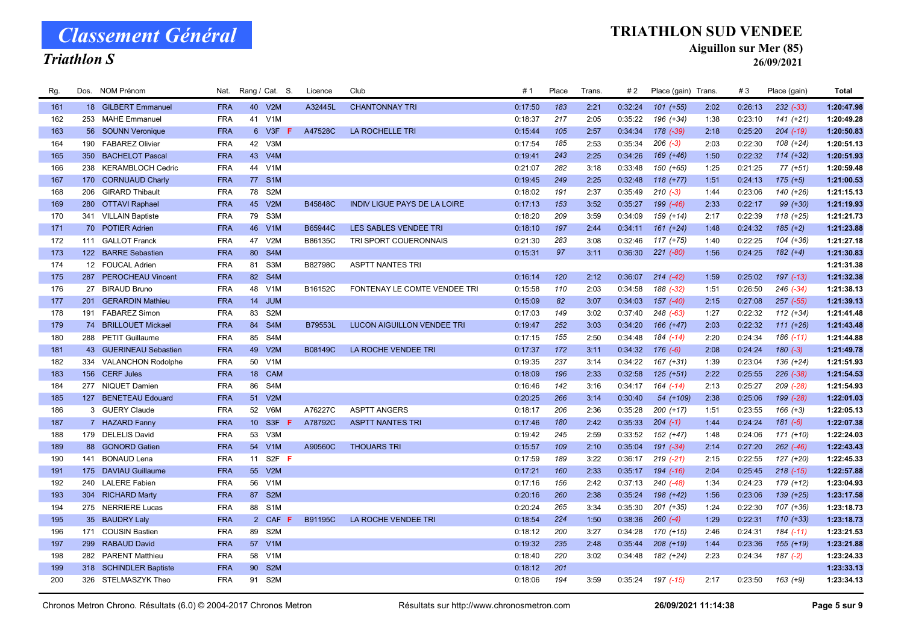#### Triathlon S

#### TRIATHLON SUD VENDEE

Aiguillon sur Mer (85)

26/09/2021

| Rg. |     | Dos. NOM Prénom           | Nat.       |                 | Rang / Cat. S.                | Licence        | Club                                | # 1     | Place | Trans. | #2      | Place (gain) Trans. |      | #3      | Place (gain)  | <b>Total</b> |
|-----|-----|---------------------------|------------|-----------------|-------------------------------|----------------|-------------------------------------|---------|-------|--------|---------|---------------------|------|---------|---------------|--------------|
| 161 |     | 18 GILBERT Emmanuel       | <b>FRA</b> |                 | 40 V2M                        | A32445L        | <b>CHANTONNAY TRI</b>               | 0:17:50 | 183   | 2:21   | 0:32:24 | $101 (+55)$         | 2:02 | 0:26:13 | $232$ $(-33)$ | 1:20:47.98   |
| 162 |     | 253 MAHE Emmanuel         | <b>FRA</b> | 41              | V <sub>1</sub> M              |                |                                     | 0:18:37 | 217   | 2:05   | 0:35:22 | 196 (+34)           | 1:38 | 0:23:10 | $141 (+21)$   | 1:20:49.28   |
| 163 |     | 56 SOUNN Veronique        | <b>FRA</b> |                 | 6 V3F<br>F                    | A47528C        | LA ROCHELLE TRI                     | 0:15:44 | 105   | 2:57   | 0:34:34 | 178 (-39)           | 2:18 | 0:25:20 | $204$ $(-19)$ | 1:20:50.83   |
| 164 | 190 | <b>FABAREZ Olivier</b>    | <b>FRA</b> | 42              | V3M                           |                |                                     | 0:17:54 | 185   | 2:53   | 0:35:34 | $206$ $(-3)$        | 2:03 | 0:22:30 | 108 (+24)     | 1:20:51.13   |
| 165 | 350 | <b>BACHELOT Pascal</b>    | <b>FRA</b> | 43              | V4M                           |                |                                     | 0:19:41 | 243   | 2:25   | 0:34:26 | 169 (+46)           | 1:50 | 0:22:32 | $114 (+32)$   | 1:20:51.93   |
| 166 |     | 238 KERAMBLOCH Cedric     | <b>FRA</b> | 44              | V <sub>1</sub> M              |                |                                     | 0:21:07 | 282   | 3:18   | 0:33:48 | 150 (+65)           | 1:25 | 0:21:25 | $77(+51)$     | 1:20:59.48   |
| 167 | 170 | <b>CORNUAUD Charly</b>    | <b>FRA</b> | 77              | S <sub>1</sub> M              |                |                                     | 0:19:45 | 249   | 2:25   | 0:32:48 | $118 (+77)$         | 1:51 | 0:24:13 | $175 (+5)$    | 1:21:00.53   |
| 168 | 206 | <b>GIRARD Thibault</b>    | <b>FRA</b> | 78              | S2M                           |                |                                     | 0:18:02 | 191   | 2:37   | 0:35:49 | $210(-3)$           | 1:44 | 0:23:06 | 140 (+26)     | 1:21:15.13   |
| 169 |     | 280 OTTAVI Raphael        | <b>FRA</b> |                 | 45 V2M                        | B45848C        | <b>INDIV LIGUE PAYS DE LA LOIRE</b> | 0:17:13 | 153   | 3:52   | 0:35:27 | 199 (-46)           | 2:33 | 0:22:17 | 99 (+30)      | 1:21:19.93   |
| 170 |     | 341 VILLAIN Baptiste      | <b>FRA</b> | 79              | S3M                           |                |                                     | 0:18:20 | 209   | 3:59   | 0:34:09 | 159 (+14)           | 2:17 | 0:22:39 | 118 (+25)     | 1:21:21.73   |
| 171 |     | 70 POTIER Adrien          | <b>FRA</b> | 46              | V <sub>1</sub> M              | B65944C        | LES SABLES VENDEE TRI               | 0:18:10 | 197   | 2:44   | 0:34:11 | $161 (+24)$         | 1:48 | 0:24:32 | $185 (+2)$    | 1:21:23.88   |
| 172 |     | 111 GALLOT Franck         | <b>FRA</b> | 47              | V2M                           | B86135C        | TRI SPORT COUERONNAIS               | 0:21:30 | 283   | 3:08   | 0:32:46 | $117 (+75)$         | 1:40 | 0:22:25 | $104 (+36)$   | 1:21:27.18   |
| 173 |     | 122 BARRE Sebastien       | <b>FRA</b> | 80              | S <sub>4</sub> M              |                |                                     | 0:15:31 | 97    | 3:11   | 0:36:30 | $221 (-80)$         | 1:56 | 0:24:25 | $182 (+4)$    | 1:21:30.83   |
| 174 |     | 12 FOUCAL Adrien          | <b>FRA</b> | 81              | S3M                           | B82798C        | <b>ASPTT NANTES TRI</b>             |         |       |        |         |                     |      |         |               | 1:21:31.38   |
| 175 |     | 287 PEROCHEAU Vincent     | <b>FRA</b> | 82              | S4M                           |                |                                     | 0:16:14 | 120   | 2:12   | 0:36:07 | $214 (-42)$         | 1:59 | 0:25:02 | 197 (-13)     | 1:21:32.38   |
| 176 |     | 27 BIRAUD Bruno           | <b>FRA</b> | 48              | V1M                           | B16152C        | FONTENAY LE COMTE VENDEE TRI        | 0:15:58 | 110   | 2:03   | 0:34:58 | 188 (-32)           | 1:51 | 0:26:50 | $246$ $(-34)$ | 1:21:38.13   |
| 177 | 201 | <b>GERARDIN Mathieu</b>   | <b>FRA</b> | 14              | <b>JUM</b>                    |                |                                     | 0:15:09 | 82    | 3:07   | 0:34:03 | 157 (-40)           | 2:15 | 0:27:08 | $257$ $(-55)$ | 1:21:39.13   |
| 178 | 191 | <b>FABAREZ Simon</b>      | <b>FRA</b> | 83              | S <sub>2</sub> M              |                |                                     | 0:17:03 | 149   | 3:02   | 0:37:40 | 248 (-63)           | 1:27 | 0:22:32 | $112 (+34)$   | 1:21:41.48   |
| 179 |     | 74 BRILLOUET Mickael      | <b>FRA</b> | 84              | S4M                           | B79553L        | <b>LUCON AIGUILLON VENDEE TRI</b>   | 0:19:47 | 252   | 3:03   | 0:34:20 | $166 (+47)$         | 2:03 | 0:22:32 | $111 (+26)$   | 1:21:43.48   |
| 180 |     | 288 PETIT Guillaume       | <b>FRA</b> | 85              | S4M                           |                |                                     | 0:17:15 | 155   | 2:50   | 0:34:48 | 184 (-14)           | 2:20 | 0:24:34 | $186$ $(-11)$ | 1:21:44.88   |
| 181 |     | 43 GUERINEAU Sebastien    | <b>FRA</b> | 49              | V2M                           | B08149C        | LA ROCHE VENDEE TRI                 | 0:17:37 | 172   | 3:11   | 0:34:32 | $176(-6)$           | 2:08 | 0:24:24 | $180(-3)$     | 1:21:49.78   |
| 182 | 334 | <b>VALANCHON Rodolphe</b> | <b>FRA</b> | 50              | V1M                           |                |                                     | 0:19:35 | 237   | 3:14   | 0:34:22 | 167 (+31)           | 1:39 | 0:23:04 | $136 (+24)$   | 1:21:51.93   |
| 183 | 156 | <b>CERF Jules</b>         | <b>FRA</b> | 18              | CAM                           |                |                                     | 0:18:09 | 196   | 2:33   | 0:32:58 | $125 (+51)$         | 2:22 | 0:25:55 | $226$ $(-38)$ | 1:21:54.53   |
| 184 |     | 277 NIQUET Damien         | <b>FRA</b> | 86              | S4M                           |                |                                     | 0:16:46 | 142   | 3:16   | 0:34:17 | $164$ $(-14)$       | 2:13 | 0:25:27 | 209 (-28)     | 1:21:54.93   |
| 185 |     | 127 BENETEAU Edouard      | <b>FRA</b> | 51              | V2M                           |                |                                     | 0:20:25 | 266   | 3:14   | 0:30:40 | 54 (+109)           | 2:38 | 0:25:06 | 199 (-28)     | 1:22:01.03   |
| 186 |     | 3 GUERY Claude            | <b>FRA</b> | 52              | V6M                           | A76227C        | <b>ASPTT ANGERS</b>                 | 0:18:17 | 206   | 2:36   | 0:35:28 | $200 (+17)$         | 1:51 | 0:23:55 | $166 (+3)$    | 1:22:05.13   |
| 187 |     | 7 HAZARD Fanny            | <b>FRA</b> | 10 <sup>°</sup> | S <sub>3F</sub><br>-F         | A78792C        | <b>ASPTT NANTES TRI</b>             | 0:17:46 | 180   | 2:42   | 0:35:33 | $204$ (-1)          | 1:44 | 0:24:24 | $181 (-6)$    | 1:22:07.38   |
| 188 |     | 179 DELELIS David         | <b>FRA</b> | 53              | V <sub>3</sub> M              |                |                                     | 0:19:42 | 245   | 2:59   | 0:33:52 | 152 (+47)           | 1:48 | 0:24:06 | $171 (+10)$   | 1:22:24.03   |
| 189 |     | 88 GONORD Gatien          | <b>FRA</b> |                 | 54 V1M                        | A90560C        | <b>THOUARS TRI</b>                  | 0:15:57 | 109   | 2:10   | 0:35:04 | $191 (-34)$         | 2:14 | 0:27:20 | $262$ $(-46)$ | 1:22:43.43   |
| 190 | 141 | <b>BONAUD Lena</b>        | <b>FRA</b> | 11              | S <sub>2</sub> F <sub>F</sub> |                |                                     | 0:17:59 | 189   | 3:22   | 0:36:17 | $219(-21)$          | 2:15 | 0:22:55 | 127 (+20)     | 1:22:45.33   |
| 191 |     | 175 DAVIAU Guillaume      | <b>FRA</b> | 55              | V2M                           |                |                                     | 0:17:21 | 160   | 2:33   | 0:35:17 | $194$ $(-16)$       | 2:04 | 0:25:45 | $218$ $(-15)$ | 1:22:57.88   |
| 192 |     | 240 LALERE Fabien         | <b>FRA</b> | 56              | V1M                           |                |                                     | 0:17:16 | 156   | 2:42   | 0:37:13 | $240(-48)$          | 1:34 | 0:24:23 | 179 (+12)     | 1:23:04.93   |
| 193 |     | 304 RICHARD Marty         | <b>FRA</b> | 87              | S <sub>2</sub> M              |                |                                     | 0:20:16 | 260   | 2:38   | 0:35:24 | 198 (+42)           | 1:56 | 0:23:06 | $139 (+25)$   | 1:23:17.58   |
| 194 |     | 275 NERRIERE Lucas        | <b>FRA</b> | 88              | S <sub>1</sub> M              |                |                                     | 0:20:24 | 265   | 3:34   | 0:35:30 | 201 (+35)           | 1:24 | 0:22:30 | $107 (+36)$   | 1:23:18.73   |
| 195 |     | 35 BAUDRY Laly            | <b>FRA</b> | $2^{\circ}$     | <b>CAF</b>                    | <b>B91195C</b> | LA ROCHE VENDEE TRI                 | 0:18:54 | 224   | 1:50   | 0:38:36 | $260 (-4)$          | 1:29 | 0:22:31 | $110 (+33)$   | 1:23:18.73   |
| 196 |     | 171 COUSIN Bastien        | <b>FRA</b> | 89              | S2M                           |                |                                     | 0:18:12 | 200   | 3:27   | 0:34:28 | $170 (+15)$         | 2:46 | 0:24:31 | $184$ $(-11)$ | 1:23:21.53   |
| 197 | 299 | <b>RABAUD David</b>       | <b>FRA</b> | 57              | V1M                           |                |                                     | 0:19:32 | 235   | 2:48   | 0:35:44 | $208 (+19)$         | 1:44 | 0:23:36 | $155(+19)$    | 1:23:21.88   |
| 198 | 282 | <b>PARENT Matthieu</b>    | <b>FRA</b> | 58              | V <sub>1</sub> M              |                |                                     | 0:18:40 | 220   | 3:02   | 0:34:48 | 182 (+24)           | 2:23 | 0:24:34 | $187 (-2)$    | 1:23:24.33   |
| 199 |     | 318 SCHINDLER Baptiste    | <b>FRA</b> | 90 <sub>o</sub> | S <sub>2</sub> M              |                |                                     | 0:18:12 | 201   |        |         |                     |      |         |               | 1:23:33.13   |
| 200 |     | 326 STELMASZYK Theo       | <b>FRA</b> |                 | 91 S2M                        |                |                                     | 0:18:06 | 194   | 3:59   | 0:35:24 | 197 (-15)           | 2:17 | 0:23:50 | $163 (+9)$    | 1:23:34.13   |
|     |     |                           |            |                 |                               |                |                                     |         |       |        |         |                     |      |         |               |              |

Chronos Metron Chrono. Résultats (6.0) © 2004-2017 Chronos Metron Résultats sur http://www.chronosmetron.com 26/09/2021 11:14:38 Page 5 sur 9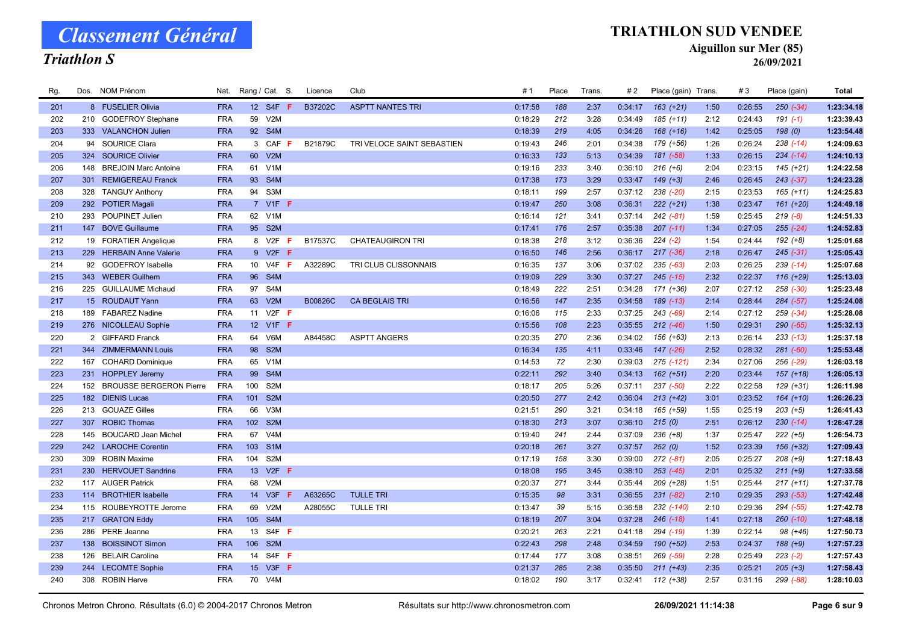### Triathlon S

#### TRIATHLON SUD VENDEE

Aiguillon sur Mer (85)

| Rg. |     | Dos. NOM Prénom                | Nat.       | Rang / Cat. S.  |                  |    | Licence | Club                       | # 1     | Place | Trans. | #2      | Place (gain) Trans. |      | #3      | Place (gain)  | <b>Total</b> |
|-----|-----|--------------------------------|------------|-----------------|------------------|----|---------|----------------------------|---------|-------|--------|---------|---------------------|------|---------|---------------|--------------|
| 201 |     | 8 FUSELIER Olivia              | <b>FRA</b> |                 | 12 S4F F         |    | B37202C | <b>ASPTT NANTES TRI</b>    | 0:17:58 | 188   | 2:37   | 0:34:17 | $163 (+21)$         | 1:50 | 0:26:55 | $250 (-34)$   | 1:23:34.18   |
| 202 |     | 210 GODEFROY Stephane          | <b>FRA</b> | 59              | V2M              |    |         |                            | 0:18:29 | 212   | 3:28   | 0:34:49 | 185 (+11)           | 2:12 | 0:24:43 | $191(-1)$     | 1:23:39.43   |
| 203 |     | 333 VALANCHON Julien           | <b>FRA</b> |                 | 92 S4M           |    |         |                            | 0:18:39 | 219   | 4:05   | 0:34:26 | $168 (+16)$         | 1:42 | 0:25:05 | 198(0)        | 1:23:54.48   |
| 204 | 94  | <b>SOURICE Clara</b>           | <b>FRA</b> |                 | 3 CAF F          |    | B21879C | TRI VELOCE SAINT SEBASTIEN | 0:19:43 | 246   | 2:01   | 0:34:38 | 179 (+56)           | 1:26 | 0:26:24 | $238$ $(-14)$ | 1:24:09.63   |
| 205 | 324 | <b>SOURICE Olivier</b>         | <b>FRA</b> | 60              | V2M              |    |         |                            | 0:16:33 | 133   | 5:13   | 0:34:39 | 181 (-58)           | 1:33 | 0:26:15 | $234 (-14)$   | 1:24:10.13   |
| 206 |     | 148 BREJOIN Marc Antoine       | <b>FRA</b> |                 | 61 V1M           |    |         |                            | 0:19:16 | 233   | 3:40   | 0:36:10 | $216 (+6)$          | 2:04 | 0:23:15 | $145 (+21)$   | 1:24:22.58   |
| 207 | 301 | <b>REMIGEREAU Franck</b>       | <b>FRA</b> | 93              | S <sub>4</sub> M |    |         |                            | 0:17:38 | 173   | 3:29   | 0:33:47 | $149 (+3)$          | 2:46 | 0:26:45 | $243 (-37)$   | 1:24:23.28   |
| 208 | 328 | <b>TANGUY Anthony</b>          | <b>FRA</b> |                 | 94 S3M           |    |         |                            | 0:18:11 | 199   | 2:57   | 0:37:12 | 238 (-20)           | 2:15 | 0:23:53 | $165 (+11)$   | 1:24:25.83   |
| 209 |     | 292 POTIER Magali              | <b>FRA</b> |                 | 7 V1F F          |    |         |                            | 0:19:47 | 250   | 3:08   | 0:36:31 | $222 (+21)$         | 1:38 | 0:23:47 | $161 (+20)$   | 1:24:49.18   |
| 210 |     | 293 POUPINET Julien            | <b>FRA</b> |                 | 62 V1M           |    |         |                            | 0:16:14 | 121   | 3:41   | 0:37:14 | $242 (-81)$         | 1:59 | 0:25:45 | $219(-8)$     | 1:24:51.33   |
| 211 |     | 147 BOVE Guillaume             | <b>FRA</b> |                 | 95 S2M           |    |         |                            | 0:17:41 | 176   | 2:57   | 0:35:38 | $207$ $(-11)$       | 1:34 | 0:27:05 | $255 (-24)$   | 1:24:52.83   |
| 212 |     | 19 FORATIER Angelique          | <b>FRA</b> | 8               | V2F              | -F | B17537C | <b>CHATEAUGIRON TRI</b>    | 0:18:38 | 218   | 3:12   | 0:36:36 | $224 (-2)$          | 1:54 | 0:24:44 | $192 (+8)$    | 1:25:01.68   |
| 213 |     | 229 HERBAIN Anne Valerie       | <b>FRA</b> |                 | 9 V2F F          |    |         |                            | 0:16:50 | 146   | 2:56   | 0:36:17 | $217$ $(-36)$       | 2:18 | 0:26:47 | $245 (-31)$   | 1:25:05.43   |
| 214 |     | 92 GODEFROY Isabelle           | <b>FRA</b> |                 | 10 V4F           | -F | A32289C | TRI CLUB CLISSONNAIS       | 0:16:35 | 137   | 3:06   | 0:37:02 | $235( -63)$         | 2:03 | 0:26:25 | $239$ (-14)   | 1:25:07.68   |
| 215 |     | 343 WEBER Guilhem              | <b>FRA</b> | 96              | S4M              |    |         |                            | 0:19:09 | 229   | 3:30   | 0:37:27 | $245$ $(-15)$       | 2:32 | 0:22:37 | $116 (+29)$   | 1:25:13.03   |
| 216 |     | 225 GUILLAUME Michaud          | <b>FRA</b> | 97              | S4M              |    |         |                            | 0:18:49 | 222   | 2:51   | 0:34:28 | 171 (+36)           | 2:07 | 0:27:12 | 258 (-30)     | 1:25:23.48   |
| 217 |     | 15 ROUDAUT Yann                | <b>FRA</b> | 63              | V2M              |    | B00826C | <b>CA BEGLAIS TRI</b>      | 0:16:56 | 147   | 2:35   | 0:34:58 | 189 (-13)           | 2:14 | 0:28:44 | $284 (-57)$   | 1:25:24.08   |
| 218 | 189 | <b>FABAREZ Nadine</b>          | <b>FRA</b> | 11              | $V2F$ F          |    |         |                            | 0:16:06 | 115   | 2:33   | 0:37:25 | 243 (-69)           | 2:14 | 0:27:12 | $259$ $(-34)$ | 1:25:28.08   |
| 219 |     | 276 NICOLLEAU Sophie           | <b>FRA</b> |                 | 12 V1F F         |    |         |                            | 0:15:56 | 108   | 2:23   | 0:35:55 | $212$ $(-46)$       | 1:50 | 0:29:31 | 290 (-65)     | 1:25:32.13   |
| 220 |     | 2 GIFFARD Franck               | <b>FRA</b> | 64              | V6M              |    | A84458C | <b>ASPTT ANGERS</b>        | 0:20:35 | 270   | 2:36   | 0:34:02 | 156 (+63)           | 2:13 | 0:26:14 | $233$ (-13)   | 1:25:37.18   |
| 221 |     | 344 ZIMMERMANN Louis           | <b>FRA</b> | 98              | S <sub>2</sub> M |    |         |                            | 0:16:34 | 135   | 4:11   | 0:33:46 | $147$ $(-26)$       | 2:52 | 0:28:32 | $281 (-60)$   | 1:25:53.48   |
| 222 |     | 167 COHARD Dominique           | <b>FRA</b> | 65              | V1M              |    |         |                            | 0:14:53 | 72    | 2:30   | 0:39:03 | 275 (-121)          | 2:34 | 0:27:06 | 256 (-29)     | 1:26:03.18   |
| 223 |     | 231 HOPPLEY Jeremy             | <b>FRA</b> | 99              | S <sub>4</sub> M |    |         |                            | 0:22:11 | 292   | 3:40   | 0:34:13 | $162 (+51)$         | 2:20 | 0:23:44 | $157 (+18)$   | 1:26:05.13   |
| 224 | 152 | <b>BROUSSE BERGERON Pierre</b> | <b>FRA</b> | 100             | S <sub>2</sub> M |    |         |                            | 0:18:17 | 205   | 5:26   | 0:37:11 | 237 (-50)           | 2:22 | 0:22:58 | 129 (+31)     | 1:26:11.98   |
| 225 |     | 182 DIENIS Lucas               | <b>FRA</b> | 101             | S <sub>2</sub> M |    |         |                            | 0:20:50 | 277   | 2:42   | 0:36:04 | $213 (+42)$         | 3:01 | 0:23:52 | $164 (+10)$   | 1:26:26.23   |
| 226 |     | 213 GOUAZE Gilles              | <b>FRA</b> | 66              | V <sub>3</sub> M |    |         |                            | 0:21:51 | 290   | 3:21   | 0:34:18 | 165 (+59)           | 1:55 | 0:25:19 | $203 (+5)$    | 1:26:41.43   |
| 227 |     | 307 ROBIC Thomas               | <b>FRA</b> |                 | 102 S2M          |    |         |                            | 0:18:30 | 213   | 3:07   | 0:36:10 | 215(0)              | 2:51 | 0:26:12 | $230(-14)$    | 1:26:47.28   |
| 228 | 145 | <b>BOUCARD Jean Michel</b>     | <b>FRA</b> | 67              | V <sub>4</sub> M |    |         |                            | 0:19:40 | 241   | 2:44   | 0:37:09 | $236 (+8)$          | 1:37 | 0:25:47 | $222 (+5)$    | 1:26:54.73   |
| 229 |     | 242 LAROCHE Corentin           | <b>FRA</b> |                 | 103 S1M          |    |         |                            | 0:20:18 | 261   | 3:27   | 0:37:57 | 252(0)              | 1:52 | 0:23:39 | 156 (+32)     | 1:27:09.43   |
| 230 |     | 309 ROBIN Maxime               | <b>FRA</b> | 104             | S <sub>2</sub> M |    |         |                            | 0:17:19 | 158   | 3:30   | 0:39:00 | $272$ (-81)         | 2:05 | 0:25:27 | $208 (+9)$    | 1:27:18.43   |
| 231 |     | 230 HERVOUET Sandrine          | <b>FRA</b> | 13 <sup>7</sup> | $V2F$ F          |    |         |                            | 0:18:08 | 195   | 3:45   | 0:38:10 | $253$ $(-45)$       | 2:01 | 0:25:32 | $211 (+9)$    | 1:27:33.58   |
| 232 |     | 117 AUGER Patrick              | <b>FRA</b> | 68              | V2M              |    |         |                            | 0:20:37 | 271   | 3:44   | 0:35:44 | 209 (+28)           | 1:51 | 0:25:44 | $217 (+11)$   | 1:27:37.78   |
| 233 |     | 114 BROTHIER Isabelle          | <b>FRA</b> | 14              | V3F              | -F | A63265C | <b>TULLE TRI</b>           | 0:15:35 | 98    | 3:31   | 0:36:55 | $231 (-82)$         | 2:10 | 0:29:35 | $293 (-53)$   | 1:27:42.48   |
| 234 |     | 115 ROUBEYROTTE Jerome         | <b>FRA</b> | 69              | V2M              |    | A28055C | <b>TULLE TRI</b>           | 0:13:47 | 39    | 5:15   | 0:36:58 | 232 (-140)          | 2:10 | 0:29:36 | 294 (-55)     | 1:27:42.78   |
| 235 |     | 217 GRATON Eddy                | <b>FRA</b> | 105             | S4M              |    |         |                            | 0:18:19 | 207   | 3:04   | 0:37:28 | $246$ $(-18)$       | 1:41 | 0:27:18 | $260$ $(-10)$ | 1:27:48.18   |
| 236 | 286 | <b>PERE Jeanne</b>             | <b>FRA</b> | 13              | $S4F$ F          |    |         |                            | 0:20:21 | 263   | 2:21   | 0:41:18 | 294 (-19)           | 1:39 | 0:22:14 | 98 (+46)      | 1:27:50.73   |
| 237 |     | 138 BOISSINOT Simon            | <b>FRA</b> |                 | 106 S2M          |    |         |                            | 0:22:43 | 298   | 2:48   | 0:34:59 | 190 (+52)           | 2:53 | 0:24:37 | $188 (+9)$    | 1:27:57.23   |
| 238 | 126 | <b>BELAIR Caroline</b>         | <b>FRA</b> | 14              | S4F F            |    |         |                            | 0:17:44 | 177   | 3:08   | 0:38:51 | 269 (-59)           | 2:28 | 0:25:49 | $223 (-2)$    | 1:27:57.43   |
| 239 |     | 244 LECOMTE Sophie             | <b>FRA</b> |                 | 15 V3F <b>F</b>  |    |         |                            | 0:21:37 | 285   | 2:38   | 0:35:50 | $211 (+43)$         | 2:35 | 0:25:21 | $205 (+3)$    | 1:27:58.43   |
| 240 |     | 308 ROBIN Herve                | <b>FRA</b> |                 | 70 V4M           |    |         |                            | 0:18:02 | 190   | 3:17   | 0:32:41 | $112 (+38)$         | 2:57 | 0:31:16 | 299 (-88)     | 1:28:10.03   |
|     |     |                                |            |                 |                  |    |         |                            |         |       |        |         |                     |      |         |               |              |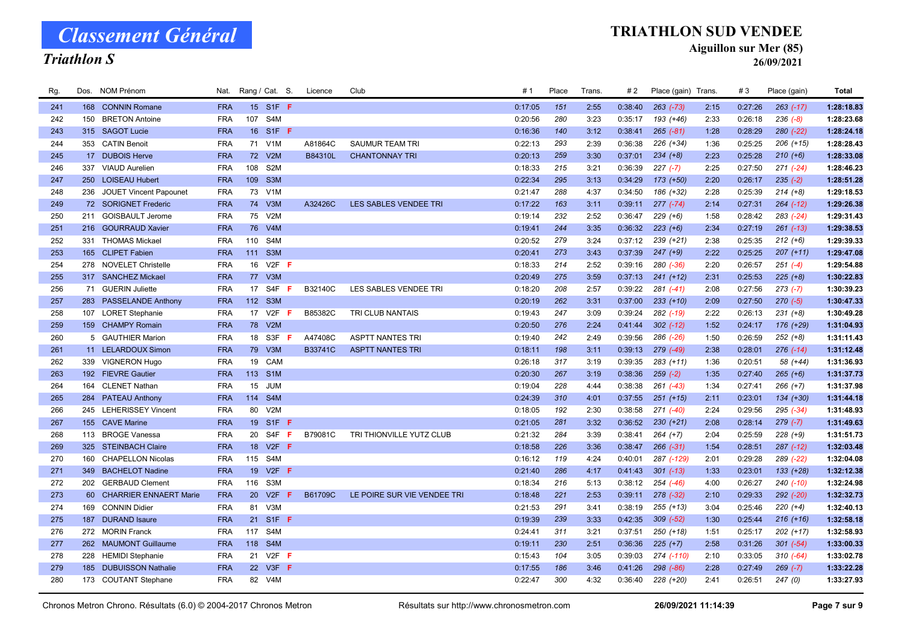#### Triathlon S

#### TRIATHLON SUD VENDEE

Aiguillon sur Mer (85)

| Rg. | Dos. | NOM Prénom                    | Nat.       |                 | Rang / Cat. S.                | Licence | Club                        | # 1     | Place | Trans. | #2      | Place (gain) Trans. |      | #3      | Place (gain)  | <b>Total</b> |
|-----|------|-------------------------------|------------|-----------------|-------------------------------|---------|-----------------------------|---------|-------|--------|---------|---------------------|------|---------|---------------|--------------|
| 241 |      | 168 CONNIN Romane             | <b>FRA</b> |                 | 15 S1F F                      |         |                             | 0:17:05 | 151   | 2:55   | 0:38:40 | $263$ $(-73)$       | 2:15 | 0:27:26 | $263$ (-17)   | 1:28:18.83   |
| 242 | 150  | <b>BRETON Antoine</b>         | <b>FRA</b> | 107             | S4M                           |         |                             | 0:20:56 | 280   | 3:23   | 0:35:17 | 193 (+46)           | 2:33 | 0:26:18 | $236 (-8)$    | 1:28:23.68   |
| 243 |      | 315 SAGOT Lucie               | <b>FRA</b> |                 | 16 S1F F                      |         |                             | 0:16:36 | 140   | 3:12   | 0:38:41 | $265 (-81)$         | 1:28 | 0:28:29 | $280 (-22)$   | 1:28:24.18   |
| 244 |      | 353 CATIN Benoit              | <b>FRA</b> |                 | 71 V1M                        | A81864C | <b>SAUMUR TEAM TRI</b>      | 0:22:13 | 293   | 2:39   | 0:36:38 | $226 (+34)$         | 1:36 | 0:25:25 | $206 (+15)$   | 1:28:28.43   |
| 245 |      | 17 DUBOIS Herve               | <b>FRA</b> | 72              | V2M                           | B84310L | <b>CHANTONNAY TRI</b>       | 0:20:13 | 259   | 3:30   | 0:37:01 | $234 (+8)$          | 2:23 | 0:25:28 | $210 (+6)$    | 1:28:33.08   |
| 246 |      | 337 VIAUD Aurelien            | <b>FRA</b> | 108             | S <sub>2</sub> M              |         |                             | 0:18:33 | 215   | 3:21   | 0:36:39 | $227(-7)$           | 2:25 | 0:27:50 | $271 (-24)$   | 1:28:46.23   |
| 247 | 250  | <b>LOISEAU Hubert</b>         | <b>FRA</b> | 109             | S <sub>3</sub> M              |         |                             | 0:22:34 | 295   | 3:13   | 0:34:29 | 173 (+50)           | 2:20 | 0:26:17 | $235(-2)$     | 1:28:51.28   |
| 248 | 236  | <b>JOUET Vincent Papounet</b> | <b>FRA</b> | 73              | V <sub>1</sub> M              |         |                             | 0:21:47 | 288   | 4:37   | 0:34:50 | 186 (+32)           | 2:28 | 0:25:39 | $214 (+8)$    | 1:29:18.53   |
| 249 |      | 72 SORIGNET Frederic          | <b>FRA</b> |                 | 74 V3M                        | A32426C | LES SABLES VENDEE TRI       | 0:17:22 | 163   | 3:11   | 0:39:11 | $277$ $(-74)$       | 2:14 | 0:27:31 | $264$ $(-12)$ | 1:29:26.38   |
| 250 |      | 211 GOISBAULT Jerome          | <b>FRA</b> | 75              | V2M                           |         |                             | 0:19:14 | 232   | 2:52   | 0:36:47 | $229 (+6)$          | 1:58 | 0:28:42 | $283$ $(-24)$ | 1:29:31.43   |
| 251 |      | 216 GOURRAUD Xavier           | <b>FRA</b> | 76              | V4M                           |         |                             | 0:19:41 | 244   | 3:35   | 0:36:32 | $223 (+6)$          | 2:34 | 0:27:19 | $261$ $(-13)$ | 1:29:38.53   |
| 252 |      | 331 THOMAS Mickael            | <b>FRA</b> | 110             | S <sub>4</sub> M              |         |                             | 0:20:52 | 279   | 3:24   | 0:37:12 | $239 (+21)$         | 2:38 | 0:25:35 | $212 (+6)$    | 1:29:39.33   |
| 253 |      | 165 CLIPET Fabien             | <b>FRA</b> | 111             | S <sub>3</sub> M              |         |                             | 0:20:41 | 273   | 3:43   | 0:37:39 | $247 (+9)$          | 2:22 | 0:25:25 | $207 (+11)$   | 1:29:47.08   |
| 254 |      | 278 NOVELET Christelle        | <b>FRA</b> | 16              | $V2F$ F                       |         |                             | 0:18:33 | 214   | 2:52   | 0:39:16 | 280 (-36)           | 2:20 | 0:26:57 | $251 (-4)$    | 1:29:54.88   |
| 255 |      | 317 SANCHEZ Mickael           | <b>FRA</b> | 77              | V3M                           |         |                             | 0:20:49 | 275   | 3:59   | 0:37:13 | $241 (+12)$         | 2:31 | 0:25:53 | $225 (+8)$    | 1:30:22.83   |
| 256 |      | 71 GUERIN Juliette            | <b>FRA</b> | 17              | S4F<br>F                      | B32140C | LES SABLES VENDEE TRI       | 0:18:20 | 208   | 2:57   | 0:39:22 | $281$ $(-41)$       | 2:08 | 0:27:56 | $273 (-7)$    | 1:30:39.23   |
| 257 |      | 283 PASSELANDE Anthony        | <b>FRA</b> |                 | 112 S3M                       |         |                             | 0:20:19 | 262   | 3:31   | 0:37:00 | $233 (+10)$         | 2:09 | 0:27:50 | $270(-5)$     | 1:30:47.33   |
| 258 | 107  | <b>LORET Stephanie</b>        | <b>FRA</b> | 17              | V2F<br>F                      | B85382C | TRI CLUB NANTAIS            | 0:19:43 | 247   | 3:09   | 0:39:24 | 282 (-19)           | 2:22 | 0:26:13 | $231 (+8)$    | 1:30:49.28   |
| 259 |      | 159 CHAMPY Romain             | <b>FRA</b> |                 | 78 V2M                        |         |                             | 0:20:50 | 276   | 2:24   | 0:41:44 | $302$ $(-12)$       | 1:52 | 0:24:17 | 176 (+29)     | 1:31:04.93   |
| 260 |      | 5 GAUTHIER Marion             | <b>FRA</b> | 18              | S3F F                         | A47408C | <b>ASPTT NANTES TRI</b>     | 0:19:40 | 242   | 2:49   | 0:39:56 | 286 (-26)           | 1:50 | 0:26:59 | $252 (+8)$    | 1:31:11.43   |
| 261 |      | 11 LELARDOUX Simon            | <b>FRA</b> | 79              | V3M                           | B33741C | <b>ASPTT NANTES TRI</b>     | 0:18:11 | 198   | 3:11   | 0:39:13 | $279$ $(-49)$       | 2:38 | 0:28:01 | $276$ $(-14)$ | 1:31:12.48   |
| 262 |      | 339 VIGNERON Hugo             | <b>FRA</b> | 19              | CAM                           |         |                             | 0:26:18 | 317   | 3:19   | 0:39:35 | $283 (+11)$         | 1:36 | 0:20:51 | 58 (+44)      | 1:31:36.93   |
| 263 |      | 192 FIEVRE Gautier            | <b>FRA</b> |                 | 113 S1M                       |         |                             | 0:20:30 | 267   | 3:19   | 0:38:36 | $259(-2)$           | 1:35 | 0:27:40 | $265 (+6)$    | 1:31:37.73   |
| 264 | 164  | <b>CLENET Nathan</b>          | <b>FRA</b> | 15 <sub>1</sub> | <b>JUM</b>                    |         |                             | 0:19:04 | 228   | 4:44   | 0:38:38 | $261$ $(-43)$       | 1:34 | 0:27:41 | $266 (+7)$    | 1:31:37.98   |
| 265 | 284  | <b>PATEAU Anthony</b>         | <b>FRA</b> | 114             | S4M                           |         |                             | 0:24:39 | 310   | 4:01   | 0:37:55 | $251 (+15)$         | 2:11 | 0:23:01 | $134 (+30)$   | 1:31:44.18   |
| 266 |      | 245 LEHERISSEY Vincent        | <b>FRA</b> | 80              | V2M                           |         |                             | 0:18:05 | 192   | 2:30   | 0:38:58 | $271$ $(-40)$       | 2:24 | 0:29:56 | $295$ $(-34)$ | 1:31:48.93   |
| 267 | 155  | <b>CAVE Marine</b>            | <b>FRA</b> |                 | 19 S1F F                      |         |                             | 0:21:05 | 281   | 3:32   | 0:36:52 | $230 (+21)$         | 2:08 | 0:28:14 | $279(-7)$     | 1:31:49.63   |
| 268 | 113  | <b>BROGE Vanessa</b>          | <b>FRA</b> |                 | 20 S4F<br>F                   | B79081C | TRI THIONVILLE YUTZ CLUB    | 0:21:32 | 284   | 3:39   | 0:38:41 | $264 (+7)$          | 2:04 | 0:25:59 | $228 (+9)$    | 1:31:51.73   |
| 269 |      | 325 STEINBACH Claire          | <b>FRA</b> |                 | 18 V2F <b>F</b>               |         |                             | 0:18:58 | 226   | 3:36   | 0:38:47 | $266 (-31)$         | 1:54 | 0:28:51 | $287$ $(-12)$ | 1:32:03.48   |
| 270 | 160  | <b>CHAPELLON Nicolas</b>      | <b>FRA</b> | 115             | S4M                           |         |                             | 0:16:12 | 119   | 4:24   | 0:40:01 | 287 (-129)          | 2:01 | 0:29:28 | 289 (-22)     | 1:32:04.08   |
| 271 |      | 349 BACHELOT Nadine           | <b>FRA</b> | 19              | $V2F$ F                       |         |                             | 0:21:40 | 286   | 4:17   | 0:41:43 | $301$ (-13)         | 1:33 | 0:23:01 | $133 (+28)$   | 1:32:12.38   |
| 272 |      | 202 GERBAUD Clement           | <b>FRA</b> | 116             | S3M                           |         |                             | 0:18:34 | 216   | 5:13   | 0:38:12 | $254$ $(-46)$       | 4:00 | 0:26:27 | $240(-10)$    | 1:32:24.98   |
| 273 |      | 60 CHARRIER ENNAERT Marie     | <b>FRA</b> | 20              | V2F<br>F                      | B61709C | LE POIRE SUR VIE VENDEE TRI | 0:18:48 | 221   | 2:53   | 0:39:11 | 278 (-32)           | 2:10 | 0:29:33 | 292 (-20)     | 1:32:32.73   |
| 274 | 169  | <b>CONNIN Didier</b>          | <b>FRA</b> | 81              | V <sub>3</sub> M              |         |                             | 0:21:53 | 291   | 3:41   | 0:38:19 | $255 (+13)$         | 3:04 | 0:25:46 | $220 (+4)$    | 1:32:40.13   |
| 275 | 187  | <b>DURAND Isaure</b>          | <b>FRA</b> | 21              | S <sub>1</sub> F <sub>F</sub> |         |                             | 0:19:39 | 239   | 3:33   | 0:42:35 | $309$ $(-52)$       | 1:30 | 0:25:44 | $216 (+16)$   | 1:32:58.18   |
| 276 |      | 272 MORIN Franck              | <b>FRA</b> | 117             | S4M                           |         |                             | 0:24:41 | 311   | 3:21   | 0:37:51 | $250 (+18)$         | 1:51 | 0:25:17 | $202 (+17)$   | 1:32:58.93   |
| 277 |      | 262 MAUMONT Guillaume         | <b>FRA</b> | 118             | S <sub>4</sub> M              |         |                             | 0:19:11 | 230   | 2:51   | 0:36:36 | $225 (+7)$          | 2:58 | 0:31:26 | $301 (-54)$   | 1:33:00.33   |
| 278 | 228  | <b>HEMIDI Stephanie</b>       | <b>FRA</b> | 21              | $V2F$ F                       |         |                             | 0:15:43 | 104   | 3:05   | 0:39:03 | 274 (-110)          | 2:10 | 0:33:05 | $310 (-64)$   | 1:33:02.78   |
| 279 |      | 185 DUBUISSON Nathalie        | <b>FRA</b> |                 | 22 V3F F                      |         |                             | 0:17:55 | 186   | 3:46   | 0:41:26 | $298$ $(-86)$       | 2:28 | 0:27:49 | $269 (-7)$    | 1:33:22.28   |
| 280 |      | 173 COUTANT Stephane          | <b>FRA</b> |                 | 82 V4M                        |         |                             | 0:22:47 | 300   | 4:32   | 0:36:40 | 228 (+20)           | 2:41 | 0:26:51 | 247(0)        | 1:33:27.93   |
|     |      |                               |            |                 |                               |         |                             |         |       |        |         |                     |      |         |               |              |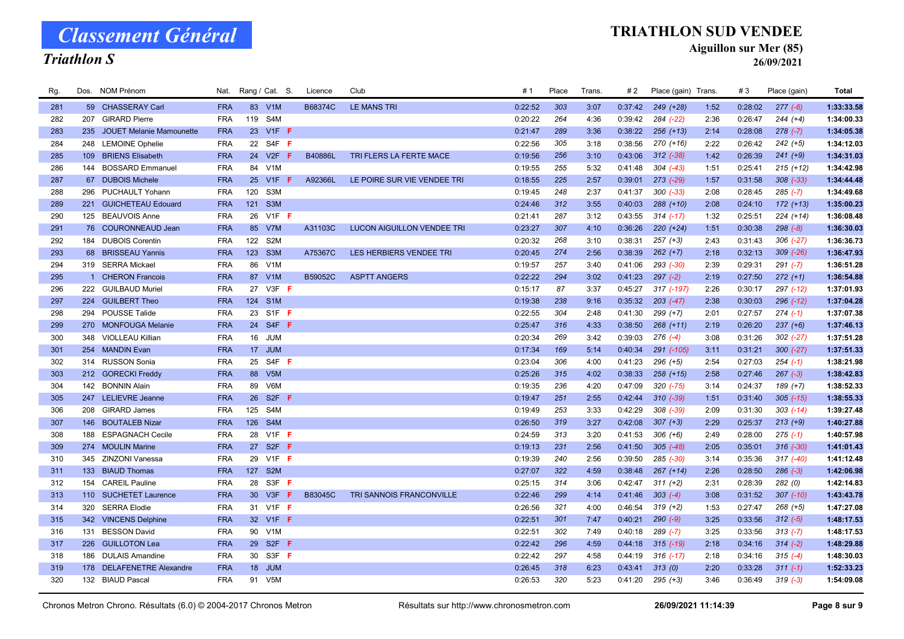#### Triathlon S

#### TRIATHLON SUD VENDEE

Aiguillon sur Mer (85)

| Rg. |     | Dos. NOM Prénom           | Nat.       |                 | Rang / Cat. S.              | Licence | Club                              | # 1     | Place | Trans. | #2      | Place (gain) Trans. |      | #3      | Place (gain)  | Total      |
|-----|-----|---------------------------|------------|-----------------|-----------------------------|---------|-----------------------------------|---------|-------|--------|---------|---------------------|------|---------|---------------|------------|
| 281 |     | 59 CHASSERAY Carl         | <b>FRA</b> |                 | 83 V1M                      | B68374C | <b>LE MANS TRI</b>                | 0:22:52 | 303   | 3:07   | 0:37:42 | 249 (+28)           | 1:52 | 0:28:02 | $277(-6)$     | 1:33:33.58 |
| 282 | 207 | <b>GIRARD Pierre</b>      | <b>FRA</b> | 119             | S4M                         |         |                                   | 0:20:22 | 264   | 4:36   | 0:39:42 | 284 (-22)           | 2:36 | 0:26:47 | $244 (+4)$    | 1:34:00.33 |
| 283 | 235 | JOUET Melanie Mamounette  | <b>FRA</b> |                 | 23 V1F F                    |         |                                   | 0:21:47 | 289   | 3:36   | 0:38:22 | $256 (+13)$         | 2:14 | 0:28:08 | $278(-7)$     | 1:34:05.38 |
| 284 |     | 248 LEMOINE Ophelie       | <b>FRA</b> |                 | 22 S4F F                    |         |                                   | 0:22:56 | 305   | 3:18   | 0:38:56 | 270 (+16)           | 2:22 | 0:26:42 | $242 (+5)$    | 1:34:12.03 |
| 285 | 109 | <b>BRIENS Elisabeth</b>   | <b>FRA</b> | 24              | V2F<br>F                    | B40886L | TRI FLERS LA FERTE MACE           | 0:19:56 | 256   | 3:10   | 0:43:06 | $312$ $(-38)$       | 1:42 | 0:26:39 | $241 (+9)$    | 1:34:31.03 |
| 286 |     | 144 BOSSARD Emmanuel      | <b>FRA</b> |                 | 84 V1M                      |         |                                   | 0:19:55 | 255   | 5:32   | 0:41:48 | $304$ $(-43)$       | 1:51 | 0:25:41 | $215 (+12)$   | 1:34:42.98 |
| 287 |     | 67 DUBOIS Michele         | <b>FRA</b> | 25              | V1F<br>-F                   | A92366L | LE POIRE SUR VIE VENDEE TRI       | 0:18:55 | 225   | 2:57   | 0:39:01 | $273$ $(-29)$       | 1:57 | 0:31:58 | $308$ $(-33)$ | 1:34:44.48 |
| 288 | 296 | PUCHAULT Yohann           | <b>FRA</b> | 120             | S <sub>3</sub> M            |         |                                   | 0:19:45 | 248   | 2:37   | 0:41:37 | $300 (-33)$         | 2:08 | 0:28:45 | $285 (-7)$    | 1:34:49.68 |
| 289 |     | 221 GUICHETEAU Edouard    | <b>FRA</b> |                 | 121 S3M                     |         |                                   | 0:24:46 | 312   | 3:55   | 0:40:03 | $288 (+10)$         | 2:08 | 0:24:10 | $172 (+13)$   | 1:35:00.23 |
| 290 |     | 125 BEAUVOIS Anne         | <b>FRA</b> | 26              | V <sub>1</sub> $F$ <b>F</b> |         |                                   | 0:21:41 | 287   | 3:12   | 0:43:55 | $314$ (-17)         | 1:32 | 0:25:51 | $224 (+14)$   | 1:36:08.48 |
| 291 |     | 76 COURONNEAUD Jean       | <b>FRA</b> |                 | 85 V7M                      | A31103C | <b>LUCON AIGUILLON VENDEE TRI</b> | 0:23:27 | 307   | 4:10   | 0:36:26 | $220 (+24)$         | 1:51 | 0:30:38 | $298 (-8)$    | 1:36:30.03 |
| 292 | 184 | <b>DUBOIS Corentin</b>    | <b>FRA</b> | 122 S2M         |                             |         |                                   | 0:20:32 | 268   | 3:10   | 0:38:31 | $257 (+3)$          | 2:43 | 0:31:43 | $306$ $(-27)$ | 1:36:36.73 |
| 293 |     | 68 BRISSEAU Yannis        | <b>FRA</b> | 123             | S <sub>3</sub> M            | A75367C | LES HERBIERS VENDEE TRI           | 0:20:45 | 274   | 2:56   | 0:38:39 | $262 (+7)$          | 2:18 | 0:32:13 | $309$ $(-26)$ | 1:36:47.93 |
| 294 |     | 319 SERRA Mickael         | <b>FRA</b> | 86              | V1M                         |         |                                   | 0:19:57 | 257   | 3:40   | 0:41:06 | 293 (-30)           | 2:39 | 0:29:31 | $291 (-7)$    | 1:36:51.28 |
| 295 |     | 1 CHERON Francois         | <b>FRA</b> | 87              | V1M                         | B59052C | <b>ASPTT ANGERS</b>               | 0:22:22 | 294   | 3:02   | 0:41:23 | $297 (-2)$          | 2:19 | 0:27:50 | $272 (+1)$    | 1:36:54.88 |
| 296 |     | 222 GUILBAUD Muriel       | <b>FRA</b> | 27              | $V3F$ F                     |         |                                   | 0:15:17 | 87    | 3:37   | 0:45:27 | 317 (-197)          | 2:26 | 0:30:17 | 297 (-12)     | 1:37:01.93 |
| 297 |     | 224 GUILBERT Theo         | <b>FRA</b> | 124 S1M         |                             |         |                                   | 0:19:38 | 238   | 9:16   | 0:35:32 | $203$ $(-47)$       | 2:38 | 0:30:03 | $296$ (-12)   | 1:37:04.28 |
| 298 | 294 | POUSSE Talide             | <b>FRA</b> |                 | 23 S1F F                    |         |                                   | 0:22:55 | 304   | 2:48   | 0:41:30 | $299 (+7)$          | 2:01 | 0:27:57 | $274$ (-1)    | 1:37:07.38 |
| 299 |     | 270 MONFOUGA Melanie      | <b>FRA</b> |                 | 24 S4F F                    |         |                                   | 0:25:47 | 316   | 4:33   | 0:38:50 | $268 (+11)$         | 2:19 | 0:26:20 | $237 (+6)$    | 1:37:46.13 |
| 300 |     | 348 VIOLLEAU Killian      | <b>FRA</b> | 16              | <b>JUM</b>                  |         |                                   | 0:20:34 | 269   | 3:42   | 0:39:03 | $276$ $(-4)$        | 3:08 | 0:31:26 | $302$ (-27)   | 1:37:51.28 |
| 301 |     | 254 MANDIN Evan           | <b>FRA</b> | 17 <sup>2</sup> | <b>JUM</b>                  |         |                                   | 0:17:34 | 169   | 5:14   | 0:40:34 | 291 (-105)          | 3:11 | 0:31:21 | $300 (-27)$   | 1:37:51.33 |
| 302 |     | 314 RUSSON Sonia          | <b>FRA</b> | 25              | S4F F                       |         |                                   | 0:23:04 | 306   | 4:00   | 0:41:23 | $296 (+5)$          | 2:54 | 0:27:03 | $254 (-1)$    | 1:38:21.98 |
| 303 |     | 212 GORECKI Freddy        | <b>FRA</b> | 88              | V <sub>5</sub> M            |         |                                   | 0:25:26 | 315   | 4:02   | 0:38:33 | $258 (+15)$         | 2:58 | 0:27:46 | $267 (-3)$    | 1:38:42.83 |
| 304 |     | 142 BONNIN Alain          | <b>FRA</b> | 89              | V6M                         |         |                                   | 0:19:35 | 236   | 4:20   | 0:47:09 | $320$ $(-75)$       | 3:14 | 0:24:37 | $189 (+7)$    | 1:38:52.33 |
| 305 |     | 247 LELIEVRE Jeanne       | <b>FRA</b> | 26              | S <sub>2F</sub> F           |         |                                   | 0:19:47 | 251   | 2:55   | 0:42:44 | $310 (-39)$         | 1:51 | 0:31:40 | $305 (-15)$   | 1:38:55.33 |
| 306 |     | 208 GIRARD James          | <b>FRA</b> | 125             | S4M                         |         |                                   | 0:19:49 | 253   | 3:33   | 0:42:29 | 308 (-39)           | 2:09 | 0:31:30 | $303$ $(-14)$ | 1:39:27.48 |
| 307 |     | 146 BOUTALEB Nizar        | <b>FRA</b> | 126             | S4M                         |         |                                   | 0:26:50 | 319   | 3:27   | 0:42:08 | $307 (+3)$          | 2:29 | 0:25:37 | $213 (+9)$    | 1:40:27.88 |
| 308 | 188 | <b>ESPAGNACH Cecile</b>   | <b>FRA</b> |                 | 28 V1F F                    |         |                                   | 0:24:59 | 313   | 3:20   | 0:41:53 | $306 (+6)$          | 2:49 | 0:28:00 | $275$ (-1)    | 1:40:57.98 |
| 309 |     | 274 MOULIN Marine         | <b>FRA</b> |                 | 27 S2F F                    |         |                                   | 0:19:13 | 231   | 2:56   | 0:41:50 | $305 (-48)$         | 2:05 | 0:35:01 | $316(-30)$    | 1:41:01.43 |
| 310 |     | 345 ZINZONI Vanessa       | <b>FRA</b> |                 | 29 V1F F                    |         |                                   | 0:19:39 | 240   | 2:56   | 0:39:50 | 285 (-30)           | 3:14 | 0:35:36 | $317 (-40)$   | 1:41:12.48 |
| 311 |     | 133 BIAUD Thomas          | <b>FRA</b> | 127 S2M         |                             |         |                                   | 0:27:07 | 322   | 4:59   | 0:38:48 | $267 (+14)$         | 2:26 | 0:28:50 | $286 (-3)$    | 1:42:06.98 |
| 312 |     | 154 CAREIL Pauline        | <b>FRA</b> | 28              | S3F F                       |         |                                   | 0:25:15 | 314   | 3:06   | 0:42:47 | $311 (+2)$          | 2:31 | 0:28:39 | 282 (0)       | 1:42:14.83 |
| 313 |     | 110 SUCHETET Laurence     | <b>FRA</b> |                 | 30 V3F<br>F                 | B83045C | TRI SANNOIS FRANCONVILLE          | 0:22:46 | 299   | 4:14   | 0:41:46 | $303 (-4)$          | 3:08 | 0:31:52 | $307$ (-10)   | 1:43:43.78 |
| 314 | 320 | <b>SERRA Elodie</b>       | <b>FRA</b> |                 | 31 V1F F                    |         |                                   | 0:26:56 | 321   | 4:00   | 0:46:54 | $319 (+2)$          | 1:53 | 0:27:47 | $268 (+5)$    | 1:47:27.08 |
| 315 |     | 342 VINCENS Delphine      | <b>FRA</b> |                 | 32 V1F F                    |         |                                   | 0:22:51 | 301   | 7:47   | 0:40:21 | $290 (-9)$          | 3:25 | 0:33:56 | $312 (-5)$    | 1:48:17.53 |
| 316 |     | 131 BESSON David          | <b>FRA</b> |                 | 90 V1M                      |         |                                   | 0:22:51 | 302   | 7:49   | 0:40:18 | $289$ $(-7)$        | 3:25 | 0:33:56 | $313(-7)$     | 1:48:17.53 |
| 317 | 226 | <b>GUILLOTON Lea</b>      | <b>FRA</b> | 29              | S <sub>2F</sub> F           |         |                                   | 0:22:42 | 296   | 4:59   | 0:44:18 | $315$ (-19)         | 2:18 | 0:34:16 | $314 (-2)$    | 1:48:29.88 |
| 318 | 186 | <b>DULAIS Amandine</b>    | <b>FRA</b> |                 | 30 S3F F                    |         |                                   | 0:22:42 | 297   | 4:58   | 0:44:19 | $316$ $(-17)$       | 2:18 | 0:34:16 | $315 (-4)$    | 1:48:30.03 |
| 319 |     | 178 DELAFENETRE Alexandre | <b>FRA</b> |                 | 18 JUM                      |         |                                   | 0:26:45 | 318   | 6:23   | 0:43:41 | 313(0)              | 2:20 | 0:33:28 | $311(-1)$     | 1:52:33.23 |
| 320 |     | 132 BIAUD Pascal          | <b>FRA</b> | 91              | V <sub>5</sub> M            |         |                                   | 0:26:53 | 320   | 5:23   | 0:41:20 | $295 (+3)$          | 3:46 | 0:36:49 | $319(-3)$     | 1:54:09.08 |
|     |     |                           |            |                 |                             |         |                                   |         |       |        |         |                     |      |         |               |            |